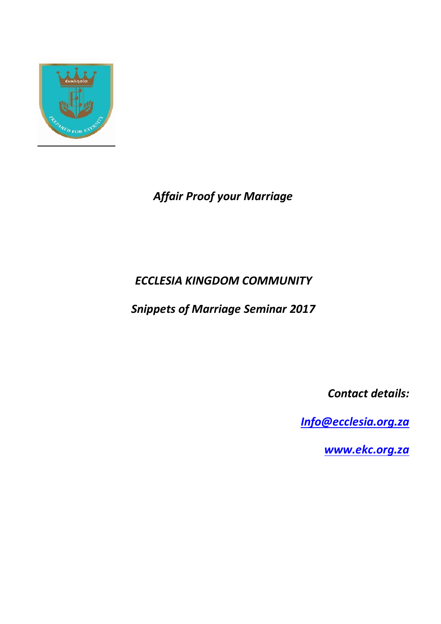

# *Affair Proof your Marriage*

# *ECCLESIA KINGDOM COMMUNITY*

*Snippets of Marriage Seminar 2017*

*Contact details:*

*Info@ecclesia.org.za*

*www.ekc.org.za*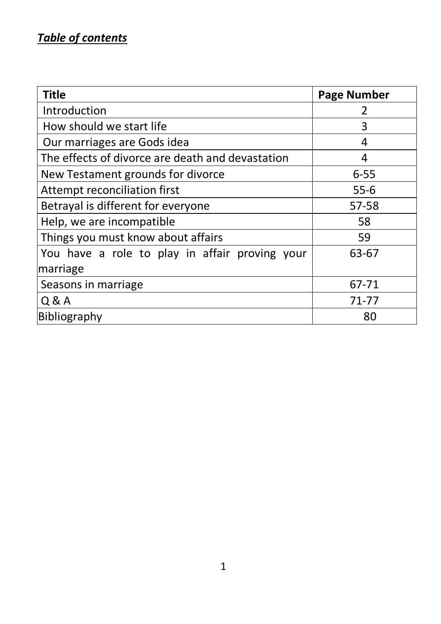# *Table of contents*

| <b>Title</b>                                     | <b>Page Number</b> |
|--------------------------------------------------|--------------------|
| Introduction                                     |                    |
| How should we start life                         | 3                  |
| Our marriages are Gods idea                      | 4                  |
| The effects of divorce are death and devastation | 4                  |
| New Testament grounds for divorce                | $6 - 55$           |
| Attempt reconciliation first                     | $55-6$             |
| Betrayal is different for everyone               | 57-58              |
| Help, we are incompatible                        | 58                 |
| Things you must know about affairs               | 59                 |
| You have a role to play in affair proving your   | 63-67              |
| marriage                                         |                    |
| Seasons in marriage                              | 67-71              |
| Q & A                                            | 71-77              |
| Bibliography                                     | 80                 |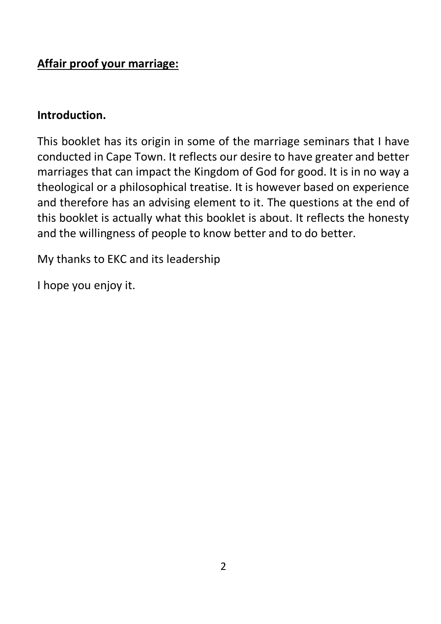# **Affair proof your marriage:**

### **Introduction.**

This booklet has its origin in some of the marriage seminars that I have conducted in Cape Town. It reflects our desire to have greater and better marriages that can impact the Kingdom of God for good. It is in no way a theological or a philosophical treatise. It is however based on experience and therefore has an advising element to it. The questions at the end of this booklet is actually what this booklet is about. It reflects the honesty and the willingness of people to know better and to do better.

My thanks to EKC and its leadership

I hope you enjoy it.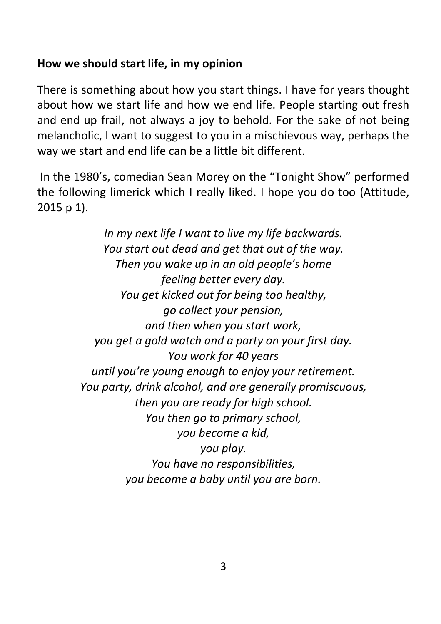# **How we should start life, in my opinion**

There is something about how you start things. I have for years thought about how we start life and how we end life. People starting out fresh and end up frail, not always a joy to behold. For the sake of not being melancholic, I want to suggest to you in a mischievous way, perhaps the way we start and end life can be a little bit different.

In the 1980's, comedian Sean Morey on the "Tonight Show" performed the following limerick which I really liked. I hope you do too (Attitude, 2015 p 1).

> *In my next life I want to live my life backwards. You start out dead and get that out of the way. Then you wake up in an old people's home feeling better every day. You get kicked out for being too healthy, go collect your pension, and then when you start work, you get a gold watch and a party on your first day. You work for 40 years until you're young enough to enjoy your retirement. You party, drink alcohol, and are generally promiscuous, then you are ready for high school. You then go to primary school, you become a kid, you play. You have no responsibilities, you become a baby until you are born.*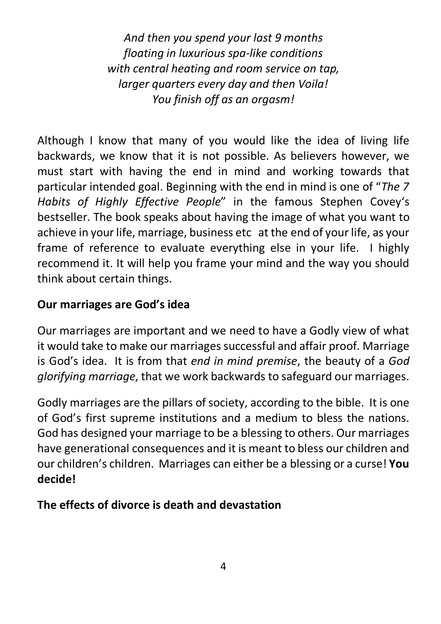*And then you spend your last 9 months floating in luxurious spa-like conditions with central heating and room service on tap, larger quarters every day and then Voila! You finish off as an orgasm!*

Although I know that many of you would like the idea of living life backwards, we know that it is not possible. As believers however, we must start with having the end in mind and working towards that particular intended goal. Beginning with the end in mind is one of "*The 7 Habits of Highly Effective People*" in the famous Stephen Covey's bestseller. The book speaks about having the image of what you want to achieve in your life, marriage, business etc at the end of your life, as your frame of reference to evaluate everything else in your life. I highly recommend it. It will help you frame your mind and the way you should think about certain things.

# **Our marriages are God's idea**

Our marriages are important and we need to have a Godly view of what it would take to make our marriages successful and affair proof. Marriage is God's idea. It is from that *end in mind premise*, the beauty of a *God glorifying marriage*, that we work backwards to safeguard our marriages.

Godly marriages are the pillars of society, according to the bible. It is one of God's first supreme institutions and a medium to bless the nations. God has designed your marriage to be a blessing to others. Our marriages have generational consequences and it is meant to bless our children and our children's children. Marriages can either be a blessing or a curse! **You decide!**

# **The effects of divorce is death and devastation**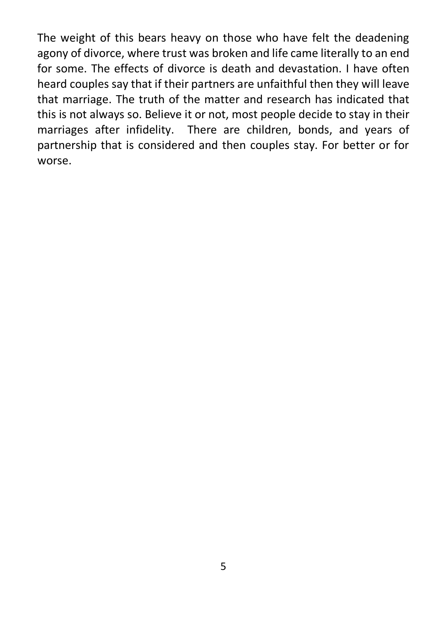The weight of this bears heavy on those who have felt the deadening agony of divorce, where trust was broken and life came literally to an end for some. The effects of divorce is death and devastation. I have often heard couples say that if their partners are unfaithful then they will leave that marriage. The truth of the matter and research has indicated that this is not always so. Believe it or not, most people decide to stay in their marriages after infidelity. There are children, bonds, and years of partnership that is considered and then couples stay. For better or for worse.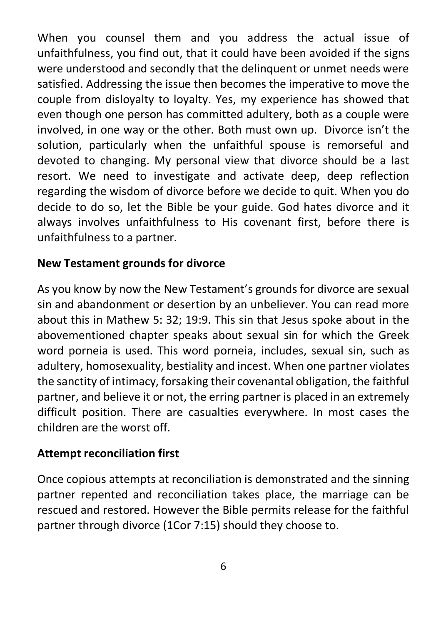When you counsel them and you address the actual issue of unfaithfulness, you find out, that it could have been avoided if the signs were understood and secondly that the delinquent or unmet needs were satisfied. Addressing the issue then becomes the imperative to move the couple from disloyalty to loyalty. Yes, my experience has showed that even though one person has committed adultery, both as a couple were involved, in one way or the other. Both must own up. Divorce isn't the solution, particularly when the unfaithful spouse is remorseful and devoted to changing. My personal view that divorce should be a last resort. We need to investigate and activate deep, deep reflection regarding the wisdom of divorce before we decide to quit. When you do decide to do so, let the Bible be your guide. God hates divorce and it always involves unfaithfulness to His covenant first, before there is unfaithfulness to a partner.

### **New Testament grounds for divorce**

As you know by now the New Testament's grounds for divorce are sexual sin and abandonment or desertion by an unbeliever. You can read more about this in Mathew 5: 32; 19:9. This sin that Jesus spoke about in the abovementioned chapter speaks about sexual sin for which the Greek word porneia is used. This word porneia, includes, sexual sin, such as adultery, homosexuality, bestiality and incest. When one partner violates the sanctity of intimacy, forsaking their covenantal obligation, the faithful partner, and believe it or not, the erring partner is placed in an extremely difficult position. There are casualties everywhere. In most cases the children are the worst off.

### **Attempt reconciliation first**

Once copious attempts at reconciliation is demonstrated and the sinning partner repented and reconciliation takes place, the marriage can be rescued and restored. However the Bible permits release for the faithful partner through divorce (1Cor 7:15) should they choose to.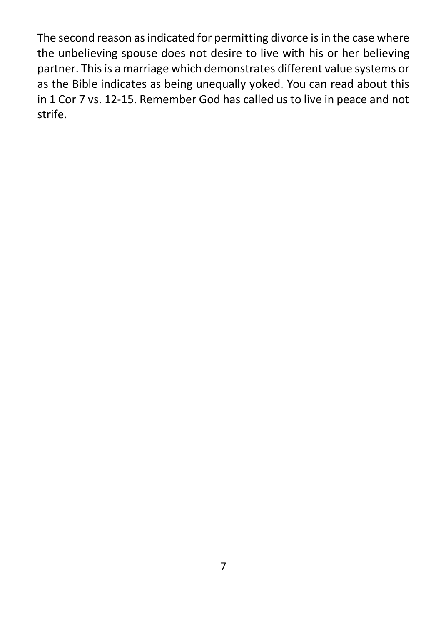The second reason as indicated for permitting divorce is in the case where the unbelieving spouse does not desire to live with his or her believing partner. This is a marriage which demonstrates different value systems or as the Bible indicates as being unequally yoked. You can read about this in 1 Cor 7 vs. 12-15. Remember God has called us to live in peace and not strife.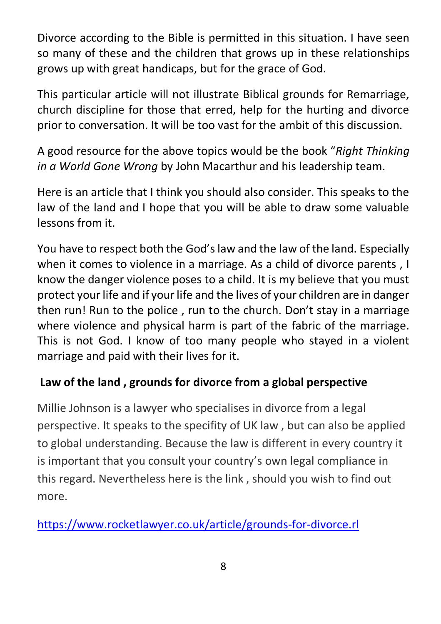Divorce according to the Bible is permitted in this situation. I have seen so many of these and the children that grows up in these relationships grows up with great handicaps, but for the grace of God.

This particular article will not illustrate Biblical grounds for Remarriage, church discipline for those that erred, help for the hurting and divorce prior to conversation. It will be too vast for the ambit of this discussion.

A good resource for the above topics would be the book "*Right Thinking in a World Gone Wrong* by John Macarthur and his leadership team.

Here is an article that I think you should also consider. This speaks to the law of the land and I hope that you will be able to draw some valuable lessons from it.

You have to respect both the God's law and the law of the land. Especially when it comes to violence in a marriage. As a child of divorce parents , I know the danger violence poses to a child. It is my believe that you must protect your life and if your life and the lives of your children are in danger then run! Run to the police , run to the church. Don't stay in a marriage where violence and physical harm is part of the fabric of the marriage. This is not God. I know of too many people who stayed in a violent marriage and paid with their lives for it.

# **Law of the land , grounds for divorce from a global perspective**

Millie Johnson is a lawyer who specialises in divorce from a legal perspective. It speaks to the specifity of UK law , but can also be applied to global understanding. Because the law is different in every country it is important that you consult your country's own legal compliance in this regard. Nevertheless here is the link , should you wish to find out more.

https://www.rocketlawyer.co.uk/article/grounds-for-divorce.rl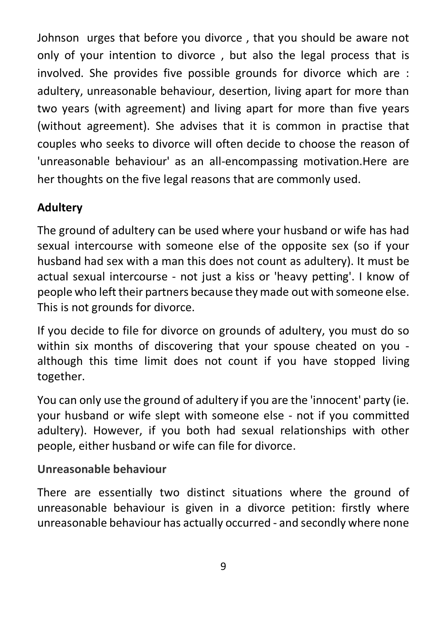Johnson urges that before you divorce , that you should be aware not only of your intention to divorce , but also the legal process that is involved. She provides five possible grounds for divorce which are : adultery, unreasonable behaviour, desertion, living apart for more than two years (with agreement) and living apart for more than five years (without agreement). She advises that it is common in practise that couples who seeks to divorce will often decide to choose the reason of 'unreasonable behaviour' as an all-encompassing motivation.Here are her thoughts on the five legal reasons that are commonly used.

# **Adultery**

The ground of adultery can be used where your husband or wife has had sexual intercourse with someone else of the opposite sex (so if your husband had sex with a man this does not count as adultery). It must be actual sexual intercourse - not just a kiss or 'heavy petting'. I know of people who left their partners because they made out with someone else. This is not grounds for divorce.

If you decide to file for divorce on grounds of adultery, you must do so within six months of discovering that your spouse cheated on you although this time limit does not count if you have stopped living together.

You can only use the ground of adultery if you are the 'innocent' party (ie. your husband or wife slept with someone else - not if you committed adultery). However, if you both had sexual relationships with other people, either husband or wife can file for divorce.

### **Unreasonable behaviour**

There are essentially two distinct situations where the ground of unreasonable behaviour is given in a divorce petition: firstly where unreasonable behaviour has actually occurred - and secondly where none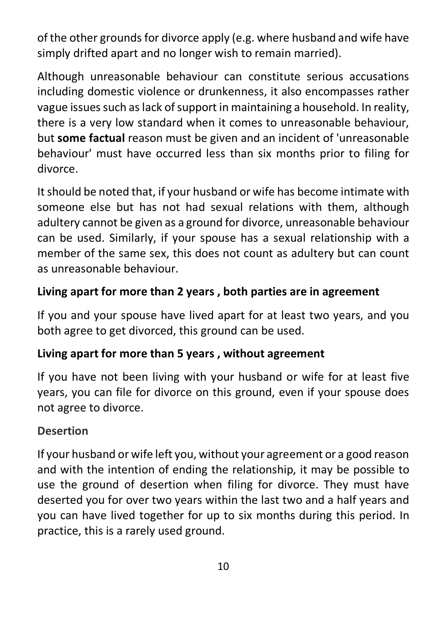of the other grounds for divorce apply (e.g. where husband and wife have simply drifted apart and no longer wish to remain married).

Although unreasonable behaviour can constitute serious accusations including domestic violence or drunkenness, it also encompasses rather vague issues such as lack of support in maintaining a household. In reality, there is a very low standard when it comes to unreasonable behaviour, but **some factual** reason must be given and an incident of 'unreasonable behaviour' must have occurred less than six months prior to filing for divorce.

It should be noted that, if your husband or wife has become intimate with someone else but has not had sexual relations with them, although adultery cannot be given as a ground for divorce, unreasonable behaviour can be used. Similarly, if your spouse has a sexual relationship with a member of the same sex, this does not count as adultery but can count as unreasonable behaviour.

### **Living apart for more than 2 years , both parties are in agreement**

If you and your spouse have lived apart for at least two years, and you both agree to get divorced, this ground can be used.

### **Living apart for more than 5 years , without agreement**

If you have not been living with your husband or wife for at least five years, you can file for divorce on this ground, even if your spouse does not agree to divorce.

### **Desertion**

If your husband or wife left you, without your agreement or a good reason and with the intention of ending the relationship, it may be possible to use the ground of desertion when filing for divorce. They must have deserted you for over two years within the last two and a half years and you can have lived together for up to six months during this period. In practice, this is a rarely used ground.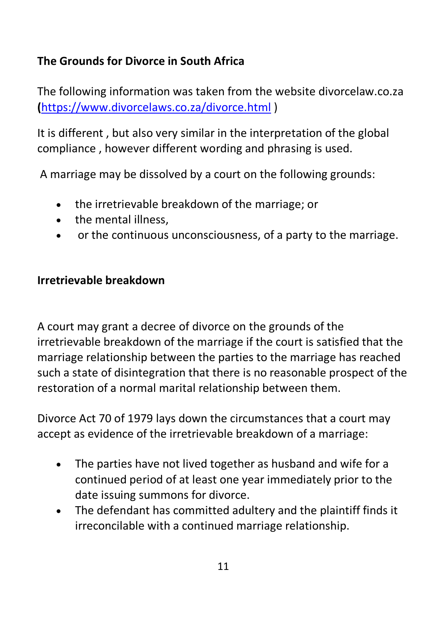# **The Grounds for Divorce in South Africa**

The following information was taken from the website divorcelaw.co.za **(**https://www.divorcelaws.co.za/divorce.html )

It is different , but also very similar in the interpretation of the global compliance , however different wording and phrasing is used.

A marriage may be dissolved by a court on the following grounds:

- the irretrievable breakdown of the marriage; or
- the mental illness,
- or the continuous unconsciousness, of a party to the marriage.

# **Irretrievable breakdown**

A court may grant a decree of divorce on the grounds of the irretrievable breakdown of the marriage if the court is satisfied that the marriage relationship between the parties to the marriage has reached such a state of disintegration that there is no reasonable prospect of the restoration of a normal marital relationship between them.

Divorce Act 70 of 1979 lays down the circumstances that a court may accept as evidence of the irretrievable breakdown of a marriage:

- The parties have not lived together as husband and wife for a continued period of at least one year immediately prior to the date issuing summons for divorce.
- The defendant has committed adultery and the plaintiff finds it irreconcilable with a continued marriage relationship.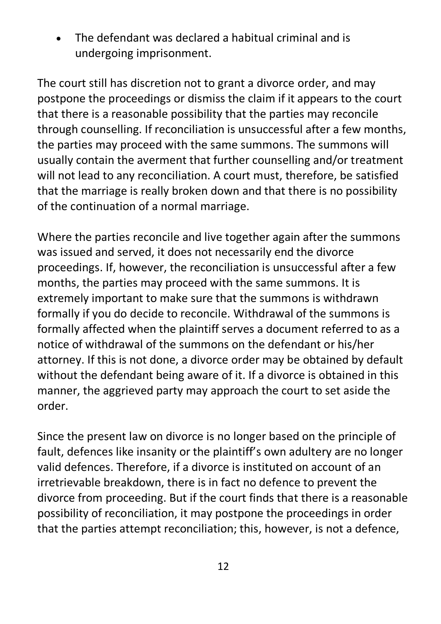• The defendant was declared a habitual criminal and is undergoing imprisonment.

The court still has discretion not to grant a divorce order, and may postpone the proceedings or dismiss the claim if it appears to the court that there is a reasonable possibility that the parties may reconcile through counselling. If reconciliation is unsuccessful after a few months, the parties may proceed with the same summons. The summons will usually contain the averment that further counselling and/or treatment will not lead to any reconciliation. A court must, therefore, be satisfied that the marriage is really broken down and that there is no possibility of the continuation of a normal marriage.

Where the parties reconcile and live together again after the summons was issued and served, it does not necessarily end the divorce proceedings. If, however, the reconciliation is unsuccessful after a few months, the parties may proceed with the same summons. It is extremely important to make sure that the summons is withdrawn formally if you do decide to reconcile. Withdrawal of the summons is formally affected when the plaintiff serves a document referred to as a notice of withdrawal of the summons on the defendant or his/her attorney. If this is not done, a divorce order may be obtained by default without the defendant being aware of it. If a divorce is obtained in this manner, the aggrieved party may approach the court to set aside the order.

Since the present law on divorce is no longer based on the principle of fault, defences like insanity or the plaintiff's own adultery are no longer valid defences. Therefore, if a divorce is instituted on account of an irretrievable breakdown, there is in fact no defence to prevent the divorce from proceeding. But if the court finds that there is a reasonable possibility of reconciliation, it may postpone the proceedings in order that the parties attempt reconciliation; this, however, is not a defence,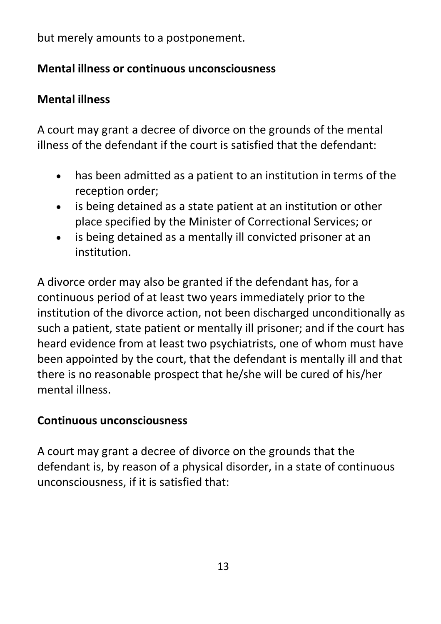but merely amounts to a postponement.

# **Mental illness or continuous unconsciousness**

# **Mental illness**

A court may grant a decree of divorce on the grounds of the mental illness of the defendant if the court is satisfied that the defendant:

- has been admitted as a patient to an institution in terms of the reception order;
- is being detained as a state patient at an institution or other place specified by the Minister of Correctional Services; or
- is being detained as a mentally ill convicted prisoner at an institution.

A divorce order may also be granted if the defendant has, for a continuous period of at least two years immediately prior to the institution of the divorce action, not been discharged unconditionally as such a patient, state patient or mentally ill prisoner; and if the court has heard evidence from at least two psychiatrists, one of whom must have been appointed by the court, that the defendant is mentally ill and that there is no reasonable prospect that he/she will be cured of his/her mental illness.

# **Continuous unconsciousness**

A court may grant a decree of divorce on the grounds that the defendant is, by reason of a physical disorder, in a state of continuous unconsciousness, if it is satisfied that: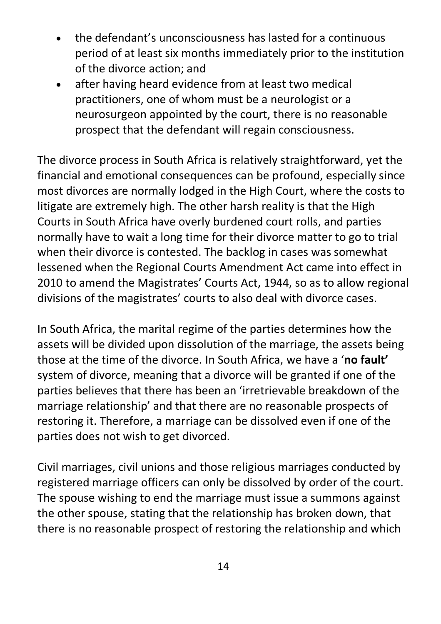- the defendant's unconsciousness has lasted for a continuous period of at least six months immediately prior to the institution of the divorce action; and
- after having heard evidence from at least two medical practitioners, one of whom must be a neurologist or a neurosurgeon appointed by the court, there is no reasonable prospect that the defendant will regain consciousness.

The divorce process in South Africa is relatively straightforward, yet the financial and emotional consequences can be profound, especially since most divorces are normally lodged in the High Court, where the costs to litigate are extremely high. The other harsh reality is that the High Courts in South Africa have overly burdened court rolls, and parties normally have to wait a long time for their divorce matter to go to trial when their divorce is contested. The backlog in cases was somewhat lessened when the Regional Courts Amendment Act came into effect in 2010 to amend the Magistrates' Courts Act, 1944, so as to allow regional divisions of the magistrates' courts to also deal with divorce cases.

In South Africa, the marital regime of the parties determines how the assets will be divided upon dissolution of the marriage, the assets being those at the time of the divorce. In South Africa, we have a '**no fault'** system of divorce, meaning that a divorce will be granted if one of the parties believes that there has been an 'irretrievable breakdown of the marriage relationship' and that there are no reasonable prospects of restoring it. Therefore, a marriage can be dissolved even if one of the parties does not wish to get divorced.

Civil marriages, civil unions and those religious marriages conducted by registered marriage officers can only be dissolved by order of the court. The spouse wishing to end the marriage must issue a summons against the other spouse, stating that the relationship has broken down, that there is no reasonable prospect of restoring the relationship and which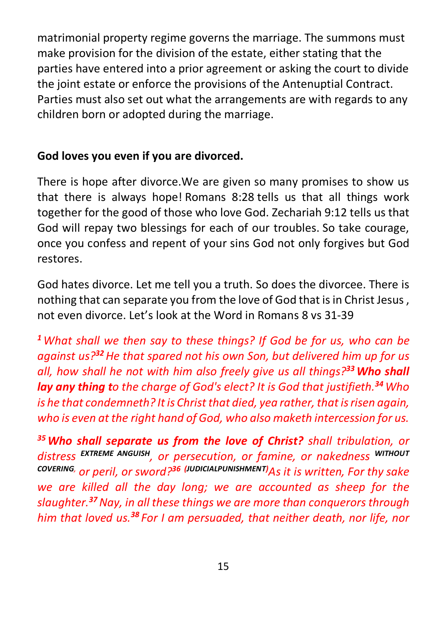matrimonial property regime governs the marriage. The summons must make provision for the division of the estate, either stating that the parties have entered into a prior agreement or asking the court to divide the joint estate or enforce the provisions of the Antenuptial Contract. Parties must also set out what the arrangements are with regards to any children born or adopted during the marriage.

# **God loves you even if you are divorced.**

There is hope after divorce.We are given so many promises to show us that there is always hope! Romans 8:28 tells us that all things work together for the good of those who love God. Zechariah 9:12 tells us that God will repay two blessings for each of our troubles. So take courage, once you confess and repent of your sins God not only forgives but God restores.

God hates divorce. Let me tell you a truth. So does the divorcee. There is nothing that can separate you from the love of God that is in Christ Jesus , not even divorce. Let's look at the Word in Romans 8 vs 31-39

*<sup>1</sup>What shall we then say to these things? If God be for us, who can be against us?<sup>32</sup>He that spared not his own Son, but delivered him up for us all, how shall he not with him also freely give us all things?33Who shall lay any thing to the charge of God's elect? It is God that justifieth.<sup>34</sup>Who is he that condemneth? It is Christ that died, yea rather, that is risen again, who is even at the right hand of God, who also maketh intercession for us.*

*35Who shall separate us from the love of Christ? shall tribulation, or distress EXTREME ANGUISH, or persecution, or famine, or nakedness WITHOUT COVERING, or peril, or sword?<sup>36</sup> (JUDICIALPUNISHMENT) As it is written, For thy sake we are killed all the day long; we are accounted as sheep for the slaughter.<sup>37</sup>Nay, in all these things we are more than conquerors through him that loved us.<sup>38</sup> For I am persuaded, that neither death, nor life, nor*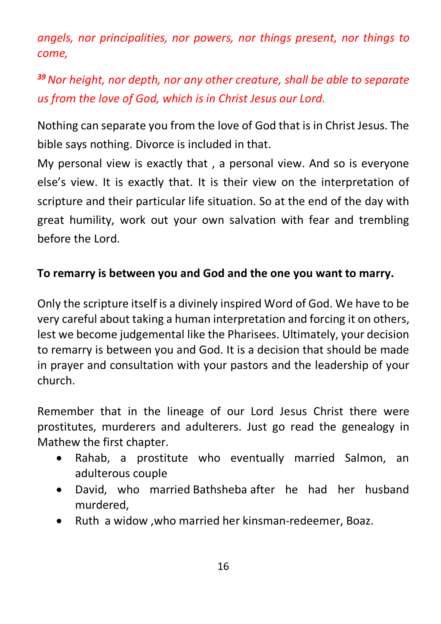*angels, nor principalities, nor powers, nor things present, nor things to come,*

# *<sup>39</sup>Nor height, nor depth, nor any other creature, shall be able to separate us from the love of God, which is in Christ Jesus our Lord.*

Nothing can separate you from the love of God that is in Christ Jesus. The bible says nothing. Divorce is included in that.

My personal view is exactly that , a personal view. And so is everyone else's view. It is exactly that. It is their view on the interpretation of scripture and their particular life situation. So at the end of the day with great humility, work out your own salvation with fear and trembling before the Lord.

# **To remarry is between you and God and the one you want to marry.**

Only the scripture itself is a divinely inspired Word of God. We have to be very careful about taking a human interpretation and forcing it on others, lest we become judgemental like the Pharisees. Ultimately, your decision to remarry is between you and God. It is a decision that should be made in prayer and consultation with your pastors and the leadership of your church.

Remember that in the lineage of our Lord Jesus Christ there were prostitutes, murderers and adulterers. Just go read the genealogy in Mathew the first chapter.

- Rahab, a prostitute who eventually married Salmon, an adulterous couple
- David, who married Bathsheba after he had her husband murdered,
- Ruth a widow ,who married her kinsman-redeemer, Boaz.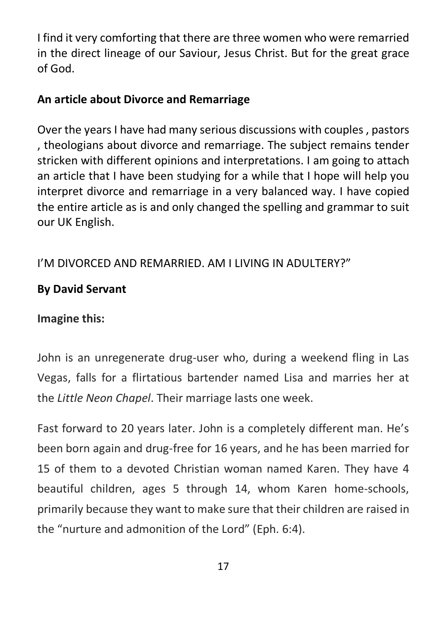I find it very comforting that there are three women who were remarried in the direct lineage of our Saviour, Jesus Christ. But for the great grace of God.

### **An article about Divorce and Remarriage**

Over the years I have had many serious discussions with couples , pastors , theologians about divorce and remarriage. The subject remains tender stricken with different opinions and interpretations. I am going to attach an article that I have been studying for a while that I hope will help you interpret divorce and remarriage in a very balanced way. I have copied the entire article as is and only changed the spelling and grammar to suit our UK English.

# I'M DIVORCED AND REMARRIED. AM I LIVING IN ADULTERY?"

# **By David Servant**

# **Imagine this:**

John is an unregenerate drug-user who, during a weekend fling in Las Vegas, falls for a flirtatious bartender named Lisa and marries her at the *Little Neon Chapel*. Their marriage lasts one week.

Fast forward to 20 years later. John is a completely different man. He's been born again and drug-free for 16 years, and he has been married for 15 of them to a devoted Christian woman named Karen. They have 4 beautiful children, ages 5 through 14, whom Karen home-schools, primarily because they want to make sure that their children are raised in the "nurture and admonition of the Lord" (Eph. 6:4).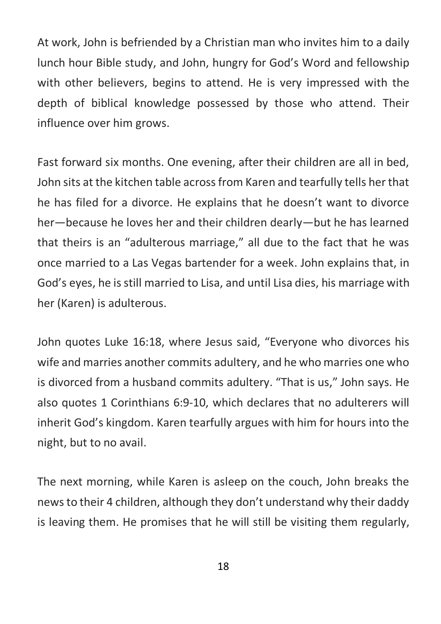At work, John is befriended by a Christian man who invites him to a daily lunch hour Bible study, and John, hungry for God's Word and fellowship with other believers, begins to attend. He is very impressed with the depth of biblical knowledge possessed by those who attend. Their influence over him grows.

Fast forward six months. One evening, after their children are all in bed, John sits at the kitchen table across from Karen and tearfully tells her that he has filed for a divorce. He explains that he doesn't want to divorce her—because he loves her and their children dearly—but he has learned that theirs is an "adulterous marriage," all due to the fact that he was once married to a Las Vegas bartender for a week. John explains that, in God's eyes, he is still married to Lisa, and until Lisa dies, his marriage with her (Karen) is adulterous.

John quotes Luke 16:18, where Jesus said, "Everyone who divorces his wife and marries another commits adultery, and he who marries one who is divorced from a husband commits adultery. "That is us," John says. He also quotes 1 Corinthians 6:9-10, which declares that no adulterers will inherit God's kingdom. Karen tearfully argues with him for hours into the night, but to no avail.

The next morning, while Karen is asleep on the couch, John breaks the news to their 4 children, although they don't understand why their daddy is leaving them. He promises that he will still be visiting them regularly,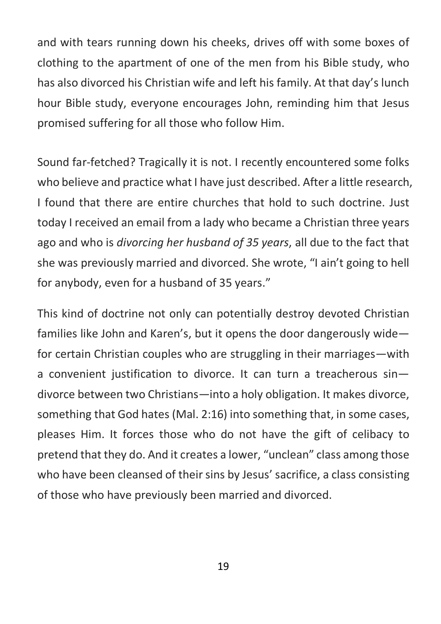and with tears running down his cheeks, drives off with some boxes of clothing to the apartment of one of the men from his Bible study, who has also divorced his Christian wife and left his family. At that day's lunch hour Bible study, everyone encourages John, reminding him that Jesus promised suffering for all those who follow Him.

Sound far-fetched? Tragically it is not. I recently encountered some folks who believe and practice what I have just described. After a little research, I found that there are entire churches that hold to such doctrine. Just today I received an email from a lady who became a Christian three years ago and who is *divorcing her husband of 35 years*, all due to the fact that she was previously married and divorced. She wrote, "I ain't going to hell for anybody, even for a husband of 35 years."

This kind of doctrine not only can potentially destroy devoted Christian families like John and Karen's, but it opens the door dangerously wide for certain Christian couples who are struggling in their marriages—with a convenient justification to divorce. It can turn a treacherous sin divorce between two Christians—into a holy obligation. It makes divorce, something that God hates (Mal. 2:16) into something that, in some cases, pleases Him. It forces those who do not have the gift of celibacy to pretend that they do. And it creates a lower, "unclean" class among those who have been cleansed of their sins by Jesus' sacrifice, a class consisting of those who have previously been married and divorced.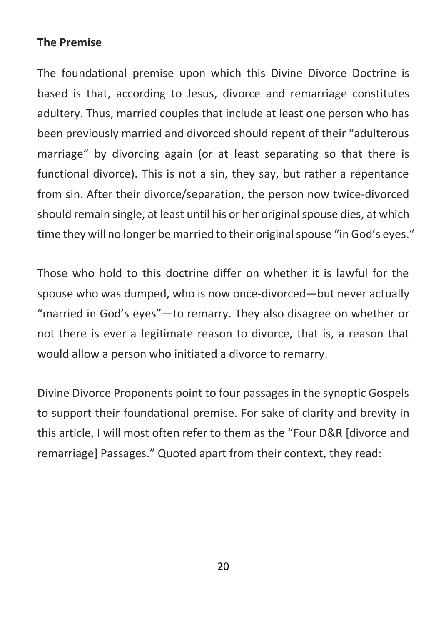# **The Premise**

The foundational premise upon which this Divine Divorce Doctrine is based is that, according to Jesus, divorce and remarriage constitutes adultery. Thus, married couples that include at least one person who has been previously married and divorced should repent of their "adulterous marriage" by divorcing again (or at least separating so that there is functional divorce). This is not a sin, they say, but rather a repentance from sin. After their divorce/separation, the person now twice-divorced should remain single, at least until his or her original spouse dies, at which time they will no longer be married to their original spouse "in God's eyes."

Those who hold to this doctrine differ on whether it is lawful for the spouse who was dumped, who is now once-divorced—but never actually "married in God's eyes"—to remarry. They also disagree on whether or not there is ever a legitimate reason to divorce, that is, a reason that would allow a person who initiated a divorce to remarry.

Divine Divorce Proponents point to four passages in the synoptic Gospels to support their foundational premise. For sake of clarity and brevity in this article, I will most often refer to them as the "Four D&R [divorce and remarriage] Passages." Quoted apart from their context, they read: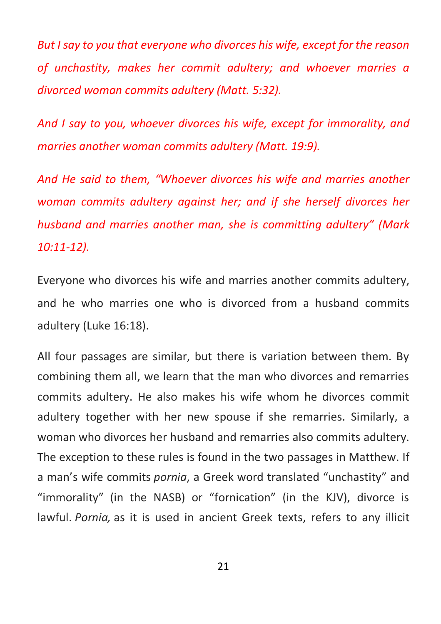*But I say to you that everyone who divorces his wife, except for the reason of unchastity, makes her commit adultery; and whoever marries a divorced woman commits adultery (Matt. 5:32).*

*And I say to you, whoever divorces his wife, except for immorality, and marries another woman commits adultery (Matt. 19:9).*

*And He said to them, "Whoever divorces his wife and marries another woman commits adultery against her; and if she herself divorces her husband and marries another man, she is committing adultery" (Mark 10:11-12).*

Everyone who divorces his wife and marries another commits adultery, and he who marries one who is divorced from a husband commits adultery (Luke 16:18).

All four passages are similar, but there is variation between them. By combining them all, we learn that the man who divorces and remarries commits adultery. He also makes his wife whom he divorces commit adultery together with her new spouse if she remarries. Similarly, a woman who divorces her husband and remarries also commits adultery. The exception to these rules is found in the two passages in Matthew. If a man's wife commits *pornia*, a Greek word translated "unchastity" and "immorality" (in the NASB) or "fornication" (in the KJV), divorce is lawful. *Pornia,* as it is used in ancient Greek texts, refers to any illicit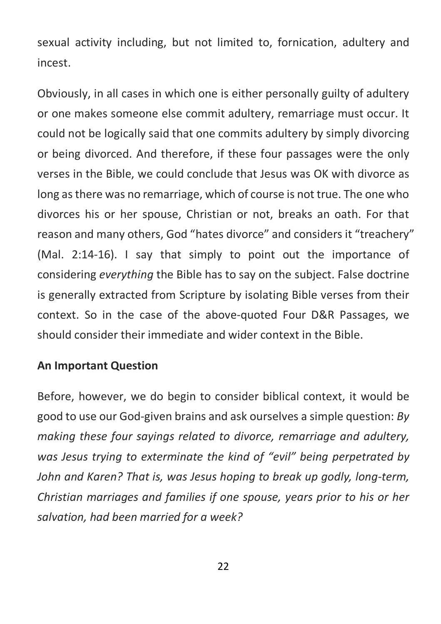sexual activity including, but not limited to, fornication, adultery and incest.

Obviously, in all cases in which one is either personally guilty of adultery or one makes someone else commit adultery, remarriage must occur. It could not be logically said that one commits adultery by simply divorcing or being divorced. And therefore, if these four passages were the only verses in the Bible, we could conclude that Jesus was OK with divorce as long as there was no remarriage, which of course is not true. The one who divorces his or her spouse, Christian or not, breaks an oath. For that reason and many others, God "hates divorce" and considers it "treachery" (Mal. 2:14-16). I say that simply to point out the importance of considering *everything* the Bible has to say on the subject. False doctrine is generally extracted from Scripture by isolating Bible verses from their context. So in the case of the above-quoted Four D&R Passages, we should consider their immediate and wider context in the Bible.

### **An Important Question**

Before, however, we do begin to consider biblical context, it would be good to use our God-given brains and ask ourselves a simple question: *By making these four sayings related to divorce, remarriage and adultery, was Jesus trying to exterminate the kind of "evil" being perpetrated by John and Karen? That is, was Jesus hoping to break up godly, long-term, Christian marriages and families if one spouse, years prior to his or her salvation, had been married for a week?*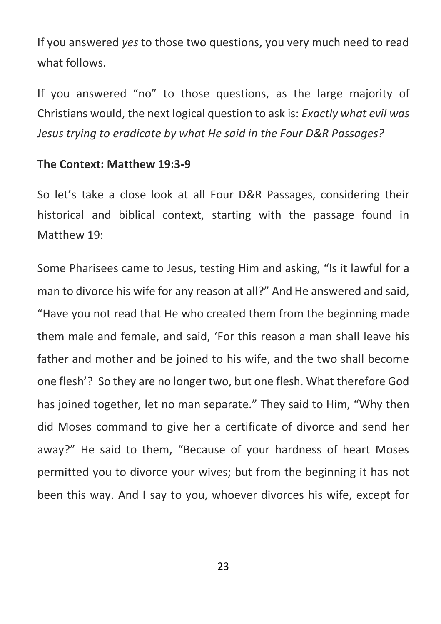If you answered *yes* to those two questions, you very much need to read what follows.

If you answered "no" to those questions, as the large majority of Christians would, the next logical question to ask is: *Exactly what evil was Jesus trying to eradicate by what He said in the Four D&R Passages?*

### **The Context: Matthew 19:3-9**

So let's take a close look at all Four D&R Passages, considering their historical and biblical context, starting with the passage found in Matthew 19:

Some Pharisees came to Jesus, testing Him and asking, "Is it lawful for a man to divorce his wife for any reason at all?" And He answered and said, "Have you not read that He who created them from the beginning made them male and female, and said, 'For this reason a man shall leave his father and mother and be joined to his wife, and the two shall become one flesh'? So they are no longer two, but one flesh. What therefore God has joined together, let no man separate." They said to Him, "Why then did Moses command to give her a certificate of divorce and send her away?" He said to them, "Because of your hardness of heart Moses permitted you to divorce your wives; but from the beginning it has not been this way. And I say to you, whoever divorces his wife, except for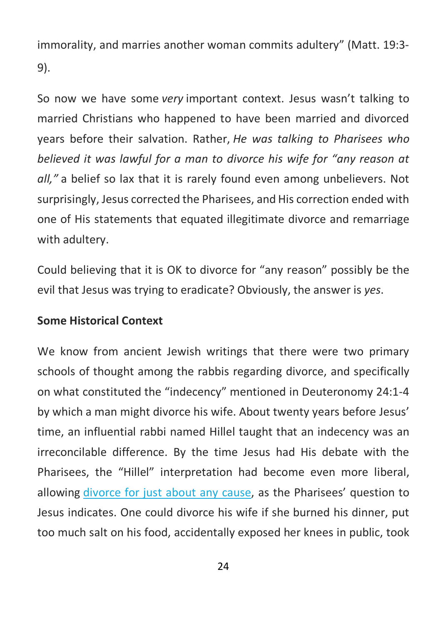immorality, and marries another woman commits adultery" (Matt. 19:3- 9).

So now we have some *very* important context. Jesus wasn't talking to married Christians who happened to have been married and divorced years before their salvation. Rather, *He was talking to Pharisees who believed it was lawful for a man to divorce his wife for "any reason at all,"* a belief so lax that it is rarely found even among unbelievers. Not surprisingly, Jesus corrected the Pharisees, and His correction ended with one of His statements that equated illegitimate divorce and remarriage with adultery.

Could believing that it is OK to divorce for "any reason" possibly be the evil that Jesus was trying to eradicate? Obviously, the answer is *yes*.

### **Some Historical Context**

We know from ancient Jewish writings that there were two primary schools of thought among the rabbis regarding divorce, and specifically on what constituted the "indecency" mentioned in Deuteronomy 24:1-4 by which a man might divorce his wife. About twenty years before Jesus' time, an influential rabbi named Hillel taught that an indecency was an irreconcilable difference. By the time Jesus had His debate with the Pharisees, the "Hillel" interpretation had become even more liberal, allowing divorce for just about any cause, as the Pharisees' question to Jesus indicates. One could divorce his wife if she burned his dinner, put too much salt on his food, accidentally exposed her knees in public, took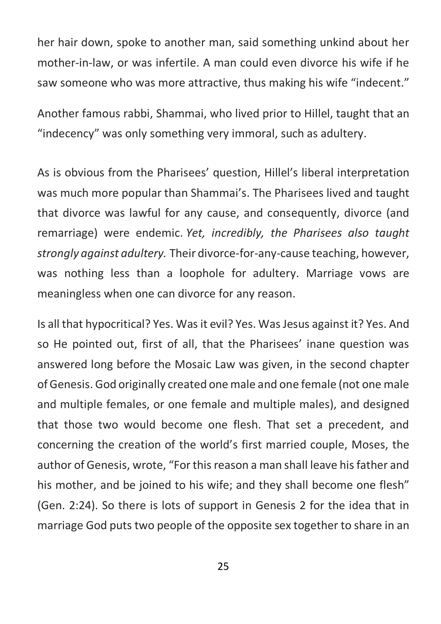her hair down, spoke to another man, said something unkind about her mother-in-law, or was infertile. A man could even divorce his wife if he saw someone who was more attractive, thus making his wife "indecent."

Another famous rabbi, Shammai, who lived prior to Hillel, taught that an "indecency" was only something very immoral, such as adultery.

As is obvious from the Pharisees' question, Hillel's liberal interpretation was much more popular than Shammai's. The Pharisees lived and taught that divorce was lawful for any cause, and consequently, divorce (and remarriage) were endemic. *Yet, incredibly, the Pharisees also taught strongly against adultery.* Their divorce-for-any-cause teaching, however, was nothing less than a loophole for adultery. Marriage vows are meaningless when one can divorce for any reason.

Is all that hypocritical? Yes. Was it evil? Yes. Was Jesus against it? Yes. And so He pointed out, first of all, that the Pharisees' inane question was answered long before the Mosaic Law was given, in the second chapter of Genesis. God originally created one male and one female (not one male and multiple females, or one female and multiple males), and designed that those two would become one flesh. That set a precedent, and concerning the creation of the world's first married couple, Moses, the author of Genesis, wrote, "For this reason a man shall leave his father and his mother, and be joined to his wife; and they shall become one flesh" (Gen. 2:24). So there is lots of support in Genesis 2 for the idea that in marriage God puts two people of the opposite sex together to share in an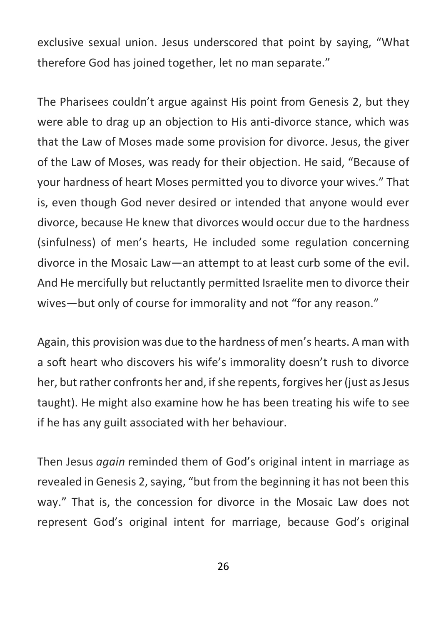exclusive sexual union. Jesus underscored that point by saying, "What therefore God has joined together, let no man separate."

The Pharisees couldn't argue against His point from Genesis 2, but they were able to drag up an objection to His anti-divorce stance, which was that the Law of Moses made some provision for divorce. Jesus, the giver of the Law of Moses, was ready for their objection. He said, "Because of your hardness of heart Moses permitted you to divorce your wives." That is, even though God never desired or intended that anyone would ever divorce, because He knew that divorces would occur due to the hardness (sinfulness) of men's hearts, He included some regulation concerning divorce in the Mosaic Law—an attempt to at least curb some of the evil. And He mercifully but reluctantly permitted Israelite men to divorce their wives—but only of course for immorality and not "for any reason."

Again, this provision was due to the hardness of men's hearts. A man with a soft heart who discovers his wife's immorality doesn't rush to divorce her, but rather confronts her and, if she repents, forgives her (just as Jesus taught). He might also examine how he has been treating his wife to see if he has any guilt associated with her behaviour.

Then Jesus *again* reminded them of God's original intent in marriage as revealed in Genesis 2, saying, "but from the beginning it has not been this way." That is, the concession for divorce in the Mosaic Law does not represent God's original intent for marriage, because God's original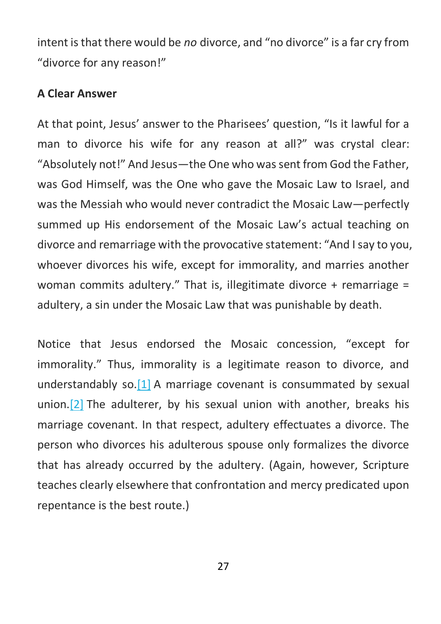intent is that there would be *no* divorce, and "no divorce" is a far cry from "divorce for any reason!"

#### **A Clear Answer**

At that point, Jesus' answer to the Pharisees' question, "Is it lawful for a man to divorce his wife for any reason at all?" was crystal clear: "Absolutely not!" And Jesus—the One who was sent from God the Father, was God Himself, was the One who gave the Mosaic Law to Israel, and was the Messiah who would never contradict the Mosaic Law—perfectly summed up His endorsement of the Mosaic Law's actual teaching on divorce and remarriage with the provocative statement: "And I say to you, whoever divorces his wife, except for immorality, and marries another woman commits adultery." That is, illegitimate divorce + remarriage = adultery, a sin under the Mosaic Law that was punishable by death.

Notice that Jesus endorsed the Mosaic concession, "except for immorality." Thus, immorality is a legitimate reason to divorce, and understandably so.[1] A marriage covenant is consummated by sexual union.[2] The adulterer, by his sexual union with another, breaks his marriage covenant. In that respect, adultery effectuates a divorce. The person who divorces his adulterous spouse only formalizes the divorce that has already occurred by the adultery. (Again, however, Scripture teaches clearly elsewhere that confrontation and mercy predicated upon repentance is the best route.)

27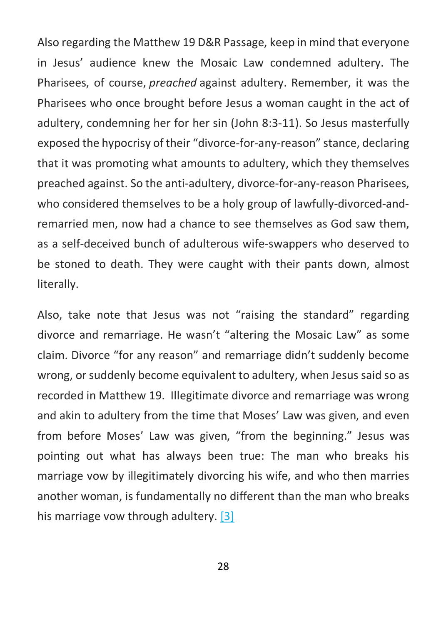Also regarding the Matthew 19 D&R Passage, keep in mind that everyone in Jesus' audience knew the Mosaic Law condemned adultery. The Pharisees, of course, *preached* against adultery. Remember, it was the Pharisees who once brought before Jesus a woman caught in the act of adultery, condemning her for her sin (John 8:3-11). So Jesus masterfully exposed the hypocrisy of their "divorce-for-any-reason" stance, declaring that it was promoting what amounts to adultery, which they themselves preached against. So the anti-adultery, divorce-for-any-reason Pharisees, who considered themselves to be a holy group of lawfully-divorced-andremarried men, now had a chance to see themselves as God saw them, as a self-deceived bunch of adulterous wife-swappers who deserved to be stoned to death. They were caught with their pants down, almost literally.

Also, take note that Jesus was not "raising the standard" regarding divorce and remarriage. He wasn't "altering the Mosaic Law" as some claim. Divorce "for any reason" and remarriage didn't suddenly become wrong, or suddenly become equivalent to adultery, when Jesus said so as recorded in Matthew 19. Illegitimate divorce and remarriage was wrong and akin to adultery from the time that Moses' Law was given, and even from before Moses' Law was given, "from the beginning." Jesus was pointing out what has always been true: The man who breaks his marriage vow by illegitimately divorcing his wife, and who then marries another woman, is fundamentally no different than the man who breaks his marriage vow through adultery. [3]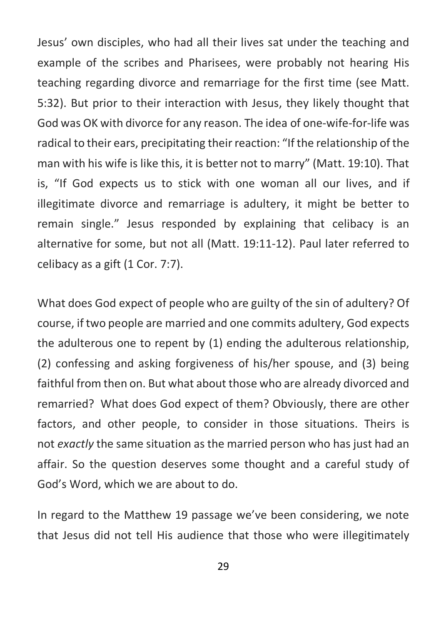Jesus' own disciples, who had all their lives sat under the teaching and example of the scribes and Pharisees, were probably not hearing His teaching regarding divorce and remarriage for the first time (see Matt. 5:32). But prior to their interaction with Jesus, they likely thought that God was OK with divorce for any reason. The idea of one-wife-for-life was radical to their ears, precipitating their reaction: "If the relationship of the man with his wife is like this, it is better not to marry" (Matt. 19:10). That is, "If God expects us to stick with one woman all our lives, and if illegitimate divorce and remarriage is adultery, it might be better to remain single." Jesus responded by explaining that celibacy is an alternative for some, but not all (Matt. 19:11-12). Paul later referred to celibacy as a gift (1 Cor. 7:7).

What does God expect of people who are guilty of the sin of adultery? Of course, if two people are married and one commits adultery, God expects the adulterous one to repent by (1) ending the adulterous relationship, (2) confessing and asking forgiveness of his/her spouse, and (3) being faithful from then on. But what about those who are already divorced and remarried? What does God expect of them? Obviously, there are other factors, and other people, to consider in those situations. Theirs is not *exactly* the same situation as the married person who has just had an affair. So the question deserves some thought and a careful study of God's Word, which we are about to do.

In regard to the Matthew 19 passage we've been considering, we note that Jesus did not tell His audience that those who were illegitimately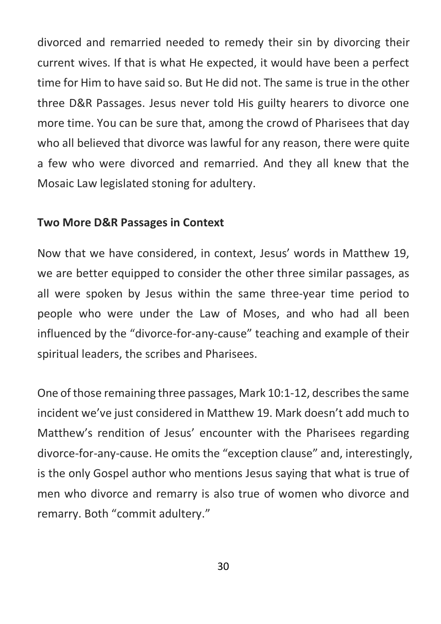divorced and remarried needed to remedy their sin by divorcing their current wives. If that is what He expected, it would have been a perfect time for Him to have said so. But He did not. The same is true in the other three D&R Passages. Jesus never told His guilty hearers to divorce one more time. You can be sure that, among the crowd of Pharisees that day who all believed that divorce was lawful for any reason, there were quite a few who were divorced and remarried. And they all knew that the Mosaic Law legislated stoning for adultery.

#### **Two More D&R Passages in Context**

Now that we have considered, in context, Jesus' words in Matthew 19, we are better equipped to consider the other three similar passages, as all were spoken by Jesus within the same three-year time period to people who were under the Law of Moses, and who had all been influenced by the "divorce-for-any-cause" teaching and example of their spiritual leaders, the scribes and Pharisees.

One of those remaining three passages, Mark 10:1-12, describes the same incident we've just considered in Matthew 19. Mark doesn't add much to Matthew's rendition of Jesus' encounter with the Pharisees regarding divorce-for-any-cause. He omits the "exception clause" and, interestingly, is the only Gospel author who mentions Jesus saying that what is true of men who divorce and remarry is also true of women who divorce and remarry. Both "commit adultery."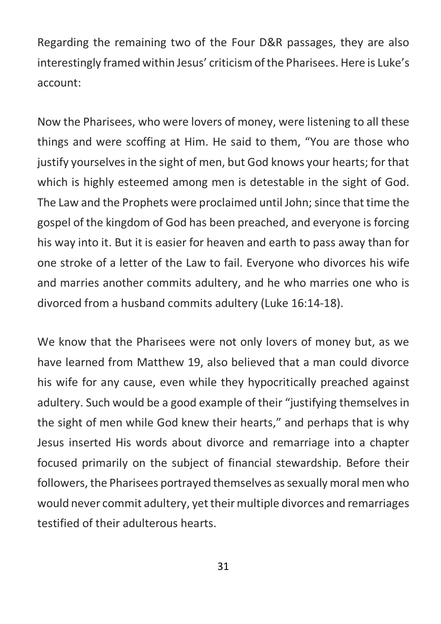Regarding the remaining two of the Four D&R passages, they are also interestingly framed within Jesus' criticism of the Pharisees. Here is Luke's account:

Now the Pharisees, who were lovers of money, were listening to all these things and were scoffing at Him. He said to them, "You are those who justify yourselves in the sight of men, but God knows your hearts; for that which is highly esteemed among men is detestable in the sight of God. The Law and the Prophets were proclaimed until John; since that time the gospel of the kingdom of God has been preached, and everyone is forcing his way into it. But it is easier for heaven and earth to pass away than for one stroke of a letter of the Law to fail. Everyone who divorces his wife and marries another commits adultery, and he who marries one who is divorced from a husband commits adultery (Luke 16:14-18).

We know that the Pharisees were not only lovers of money but, as we have learned from Matthew 19, also believed that a man could divorce his wife for any cause, even while they hypocritically preached against adultery. Such would be a good example of their "justifying themselves in the sight of men while God knew their hearts," and perhaps that is why Jesus inserted His words about divorce and remarriage into a chapter focused primarily on the subject of financial stewardship. Before their followers, the Pharisees portrayed themselves as sexually moral men who would never commit adultery, yet their multiple divorces and remarriages testified of their adulterous hearts.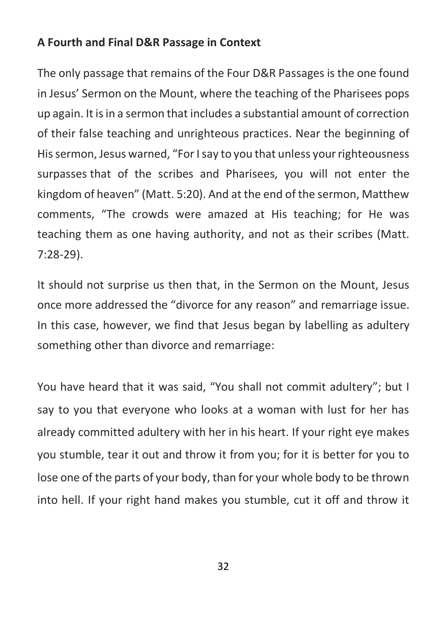### **A Fourth and Final D&R Passage in Context**

The only passage that remains of the Four D&R Passages is the one found in Jesus' Sermon on the Mount, where the teaching of the Pharisees pops up again. It is in a sermon that includes a substantial amount of correction of their false teaching and unrighteous practices. Near the beginning of His sermon, Jesus warned, "For I say to you that unless your righteousness surpasses that of the scribes and Pharisees, you will not enter the kingdom of heaven" (Matt. 5:20). And at the end of the sermon, Matthew comments, "The crowds were amazed at His teaching; for He was teaching them as one having authority, and not as their scribes (Matt. 7:28-29).

It should not surprise us then that, in the Sermon on the Mount, Jesus once more addressed the "divorce for any reason" and remarriage issue. In this case, however, we find that Jesus began by labelling as adultery something other than divorce and remarriage:

You have heard that it was said, "You shall not commit adultery"; but I say to you that everyone who looks at a woman with lust for her has already committed adultery with her in his heart. If your right eye makes you stumble, tear it out and throw it from you; for it is better for you to lose one of the parts of your body, than for your whole body to be thrown into hell. If your right hand makes you stumble, cut it off and throw it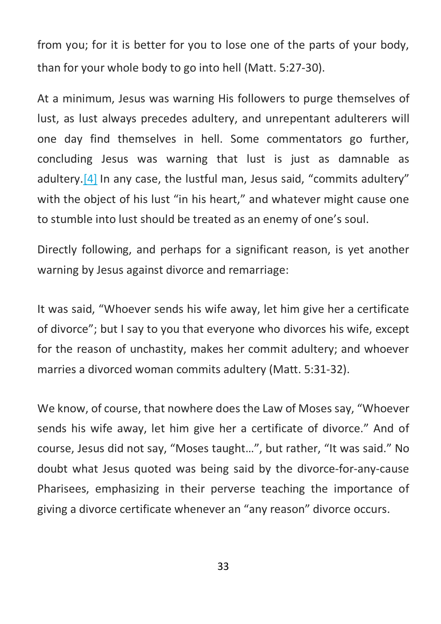from you; for it is better for you to lose one of the parts of your body, than for your whole body to go into hell (Matt. 5:27-30).

At a minimum, Jesus was warning His followers to purge themselves of lust, as lust always precedes adultery, and unrepentant adulterers will one day find themselves in hell. Some commentators go further, concluding Jesus was warning that lust is just as damnable as adultery.[4] In any case, the lustful man, Jesus said, "commits adultery" with the object of his lust "in his heart," and whatever might cause one to stumble into lust should be treated as an enemy of one's soul.

Directly following, and perhaps for a significant reason, is yet another warning by Jesus against divorce and remarriage:

It was said, "Whoever sends his wife away, let him give her a certificate of divorce"; but I say to you that everyone who divorces his wife, except for the reason of unchastity, makes her commit adultery; and whoever marries a divorced woman commits adultery (Matt. 5:31-32).

We know, of course, that nowhere does the Law of Moses say, "Whoever sends his wife away, let him give her a certificate of divorce." And of course, Jesus did not say, "Moses taught…", but rather, "It was said." No doubt what Jesus quoted was being said by the divorce-for-any-cause Pharisees, emphasizing in their perverse teaching the importance of giving a divorce certificate whenever an "any reason" divorce occurs.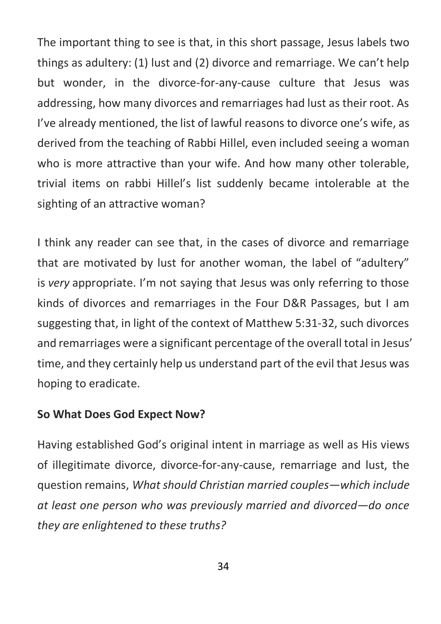The important thing to see is that, in this short passage, Jesus labels two things as adultery: (1) lust and (2) divorce and remarriage. We can't help but wonder, in the divorce-for-any-cause culture that Jesus was addressing, how many divorces and remarriages had lust as their root. As I've already mentioned, the list of lawful reasons to divorce one's wife, as derived from the teaching of Rabbi Hillel, even included seeing a woman who is more attractive than your wife. And how many other tolerable, trivial items on rabbi Hillel's list suddenly became intolerable at the sighting of an attractive woman?

I think any reader can see that, in the cases of divorce and remarriage that are motivated by lust for another woman, the label of "adultery" is *very* appropriate. I'm not saying that Jesus was only referring to those kinds of divorces and remarriages in the Four D&R Passages, but I am suggesting that, in light of the context of Matthew 5:31-32, such divorces and remarriages were a significant percentage of the overall total in Jesus' time, and they certainly help us understand part of the evil that Jesus was hoping to eradicate.

### **So What Does God Expect Now?**

Having established God's original intent in marriage as well as His views of illegitimate divorce, divorce-for-any-cause, remarriage and lust, the question remains, *What should Christian married couples—which include at least one person who was previously married and divorced—do once they are enlightened to these truths?*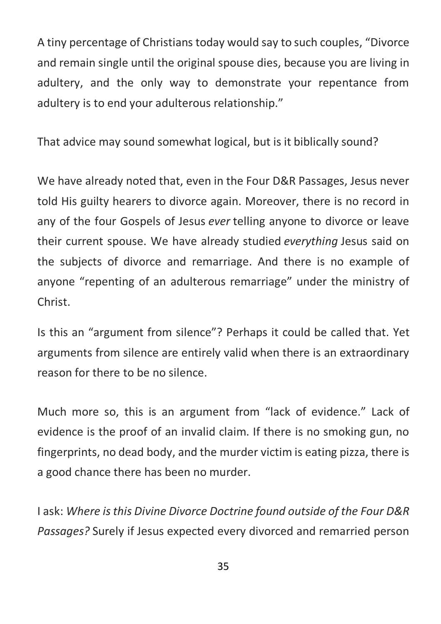A tiny percentage of Christians today would say to such couples, "Divorce and remain single until the original spouse dies, because you are living in adultery, and the only way to demonstrate your repentance from adultery is to end your adulterous relationship."

That advice may sound somewhat logical, but is it biblically sound?

We have already noted that, even in the Four D&R Passages, Jesus never told His guilty hearers to divorce again. Moreover, there is no record in any of the four Gospels of Jesus *ever* telling anyone to divorce or leave their current spouse. We have already studied *everything* Jesus said on the subjects of divorce and remarriage. And there is no example of anyone "repenting of an adulterous remarriage" under the ministry of Christ.

Is this an "argument from silence"? Perhaps it could be called that. Yet arguments from silence are entirely valid when there is an extraordinary reason for there to be no silence.

Much more so, this is an argument from "lack of evidence." Lack of evidence is the proof of an invalid claim. If there is no smoking gun, no fingerprints, no dead body, and the murder victim is eating pizza, there is a good chance there has been no murder.

I ask: *Where isthis Divine Divorce Doctrine found outside of the Four D&R Passages?* Surely if Jesus expected every divorced and remarried person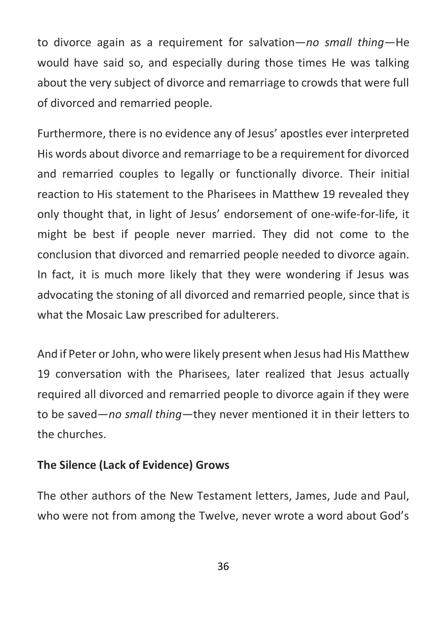to divorce again as a requirement for salvation—*no small thing*—He would have said so, and especially during those times He was talking about the very subject of divorce and remarriage to crowds that were full of divorced and remarried people.

Furthermore, there is no evidence any of Jesus' apostles ever interpreted His words about divorce and remarriage to be a requirement for divorced and remarried couples to legally or functionally divorce. Their initial reaction to His statement to the Pharisees in Matthew 19 revealed they only thought that, in light of Jesus' endorsement of one-wife-for-life, it might be best if people never married. They did not come to the conclusion that divorced and remarried people needed to divorce again. In fact, it is much more likely that they were wondering if Jesus was advocating the stoning of all divorced and remarried people, since that is what the Mosaic Law prescribed for adulterers.

And if Peter or John, who were likely present when Jesus had His Matthew 19 conversation with the Pharisees, later realized that Jesus actually required all divorced and remarried people to divorce again if they were to be saved—*no small thing*—they never mentioned it in their letters to the churches.

### **The Silence (Lack of Evidence) Grows**

The other authors of the New Testament letters, James, Jude and Paul, who were not from among the Twelve, never wrote a word about God's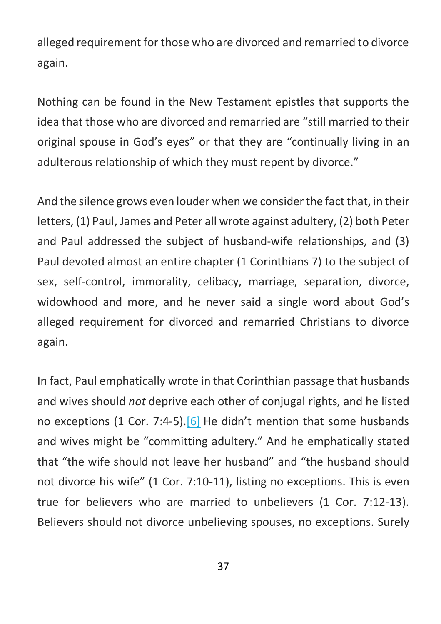alleged requirement for those who are divorced and remarried to divorce again.

Nothing can be found in the New Testament epistles that supports the idea that those who are divorced and remarried are "still married to their original spouse in God's eyes" or that they are "continually living in an adulterous relationship of which they must repent by divorce."

And the silence grows even louder when we consider the fact that, in their letters, (1) Paul, James and Peter all wrote against adultery, (2) both Peter and Paul addressed the subject of husband-wife relationships, and (3) Paul devoted almost an entire chapter (1 Corinthians 7) to the subject of sex, self-control, immorality, celibacy, marriage, separation, divorce, widowhood and more, and he never said a single word about God's alleged requirement for divorced and remarried Christians to divorce again.

In fact, Paul emphatically wrote in that Corinthian passage that husbands and wives should *not* deprive each other of conjugal rights, and he listed no exceptions (1 Cor. 7:4-5).<sup>[6]</sup> He didn't mention that some husbands and wives might be "committing adultery." And he emphatically stated that "the wife should not leave her husband" and "the husband should not divorce his wife" (1 Cor. 7:10-11), listing no exceptions. This is even true for believers who are married to unbelievers (1 Cor. 7:12-13). Believers should not divorce unbelieving spouses, no exceptions. Surely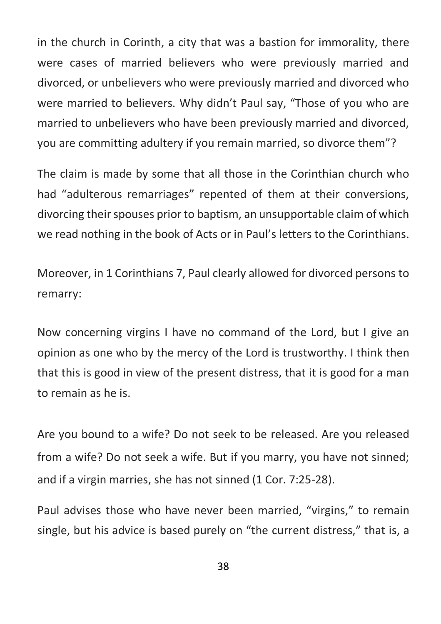in the church in Corinth, a city that was a bastion for immorality, there were cases of married believers who were previously married and divorced, or unbelievers who were previously married and divorced who were married to believers. Why didn't Paul say, "Those of you who are married to unbelievers who have been previously married and divorced, you are committing adultery if you remain married, so divorce them"?

The claim is made by some that all those in the Corinthian church who had "adulterous remarriages" repented of them at their conversions, divorcing their spouses prior to baptism, an unsupportable claim of which we read nothing in the book of Acts or in Paul's letters to the Corinthians.

Moreover, in 1 Corinthians 7, Paul clearly allowed for divorced persons to remarry:

Now concerning virgins I have no command of the Lord, but I give an opinion as one who by the mercy of the Lord is trustworthy. I think then that this is good in view of the present distress, that it is good for a man to remain as he is.

Are you bound to a wife? Do not seek to be released. Are you released from a wife? Do not seek a wife. But if you marry, you have not sinned; and if a virgin marries, she has not sinned (1 Cor. 7:25-28).

Paul advises those who have never been married, "virgins," to remain single, but his advice is based purely on "the current distress," that is, a

38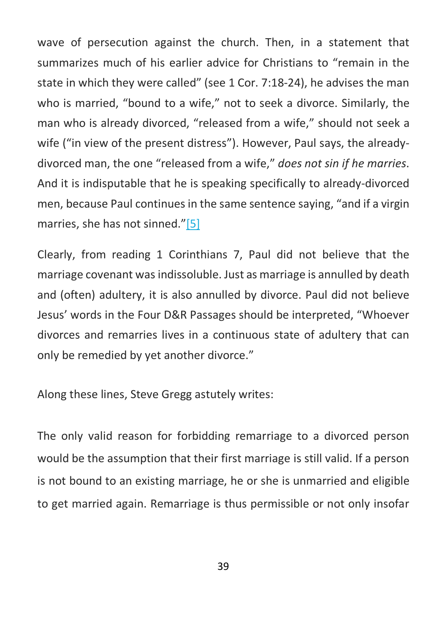wave of persecution against the church. Then, in a statement that summarizes much of his earlier advice for Christians to "remain in the state in which they were called" (see 1 Cor. 7:18-24), he advises the man who is married, "bound to a wife," not to seek a divorce. Similarly, the man who is already divorced, "released from a wife," should not seek a wife ("in view of the present distress"). However, Paul says, the alreadydivorced man, the one "released from a wife," *does not sin if he marries*. And it is indisputable that he is speaking specifically to already-divorced men, because Paul continues in the same sentence saying, "and if a virgin marries, she has not sinned."[5]

Clearly, from reading 1 Corinthians 7, Paul did not believe that the marriage covenant was indissoluble. Just as marriage is annulled by death and (often) adultery, it is also annulled by divorce. Paul did not believe Jesus' words in the Four D&R Passages should be interpreted, "Whoever divorces and remarries lives in a continuous state of adultery that can only be remedied by yet another divorce."

Along these lines, Steve Gregg astutely writes:

The only valid reason for forbidding remarriage to a divorced person would be the assumption that their first marriage is still valid. If a person is not bound to an existing marriage, he or she is unmarried and eligible to get married again. Remarriage is thus permissible or not only insofar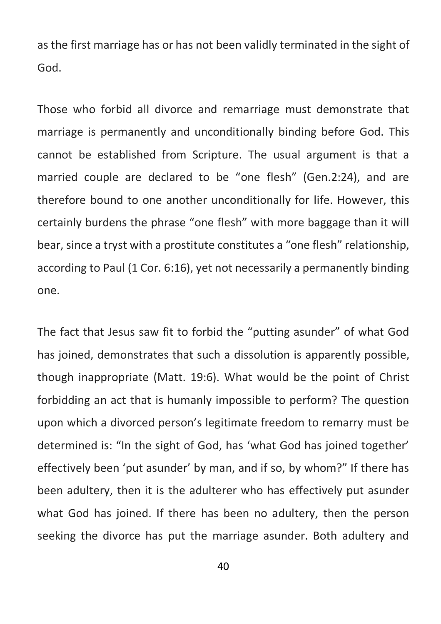as the first marriage has or has not been validly terminated in the sight of God.

Those who forbid all divorce and remarriage must demonstrate that marriage is permanently and unconditionally binding before God. This cannot be established from Scripture. The usual argument is that a married couple are declared to be "one flesh" (Gen.2:24), and are therefore bound to one another unconditionally for life. However, this certainly burdens the phrase "one flesh" with more baggage than it will bear, since a tryst with a prostitute constitutes a "one flesh" relationship, according to Paul (1 Cor. 6:16), yet not necessarily a permanently binding one.

The fact that Jesus saw fit to forbid the "putting asunder" of what God has joined, demonstrates that such a dissolution is apparently possible, though inappropriate (Matt. 19:6). What would be the point of Christ forbidding an act that is humanly impossible to perform? The question upon which a divorced person's legitimate freedom to remarry must be determined is: "In the sight of God, has 'what God has joined together' effectively been 'put asunder' by man, and if so, by whom?" If there has been adultery, then it is the adulterer who has effectively put asunder what God has joined. If there has been no adultery, then the person seeking the divorce has put the marriage asunder. Both adultery and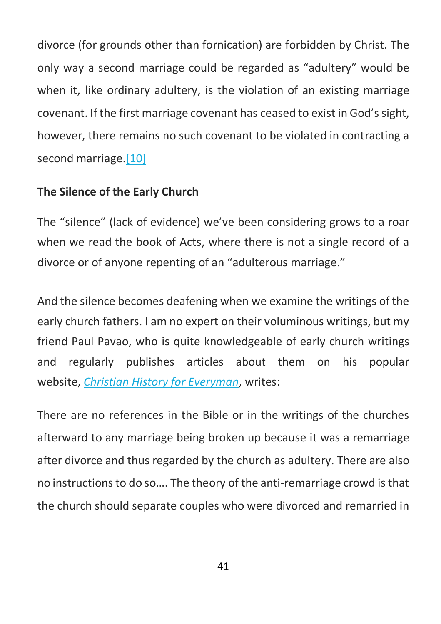divorce (for grounds other than fornication) are forbidden by Christ. The only way a second marriage could be regarded as "adultery" would be when it, like ordinary adultery, is the violation of an existing marriage covenant. If the first marriage covenant has ceased to exist in God's sight, however, there remains no such covenant to be violated in contracting a second marriage.<sup>[10]</sup>

### **The Silence of the Early Church**

The "silence" (lack of evidence) we've been considering grows to a roar when we read the book of Acts, where there is not a single record of a divorce or of anyone repenting of an "adulterous marriage."

And the silence becomes deafening when we examine the writings of the early church fathers. I am no expert on their voluminous writings, but my friend Paul Pavao, who is quite knowledgeable of early church writings and regularly publishes articles about them on his popular website, *Christian History for Everyman*, writes:

There are no references in the Bible or in the writings of the churches afterward to any marriage being broken up because it was a remarriage after divorce and thus regarded by the church as adultery. There are also no instructions to do so…. The theory of the anti-remarriage crowd is that the church should separate couples who were divorced and remarried in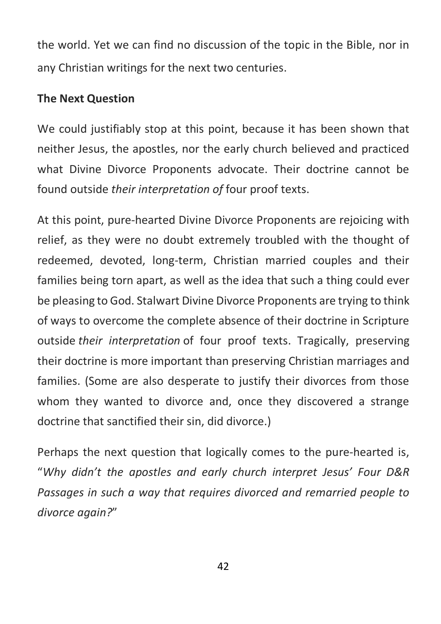the world. Yet we can find no discussion of the topic in the Bible, nor in any Christian writings for the next two centuries.

### **The Next Question**

We could justifiably stop at this point, because it has been shown that neither Jesus, the apostles, nor the early church believed and practiced what Divine Divorce Proponents advocate. Their doctrine cannot be found outside *their interpretation of* four proof texts.

At this point, pure-hearted Divine Divorce Proponents are rejoicing with relief, as they were no doubt extremely troubled with the thought of redeemed, devoted, long-term, Christian married couples and their families being torn apart, as well as the idea that such a thing could ever be pleasing to God. Stalwart Divine Divorce Proponents are trying to think of ways to overcome the complete absence of their doctrine in Scripture outside *their interpretation* of four proof texts. Tragically, preserving their doctrine is more important than preserving Christian marriages and families. (Some are also desperate to justify their divorces from those whom they wanted to divorce and, once they discovered a strange doctrine that sanctified their sin, did divorce.)

Perhaps the next question that logically comes to the pure-hearted is, "*Why didn't the apostles and early church interpret Jesus' Four D&R Passages in such a way that requires divorced and remarried people to divorce again?*"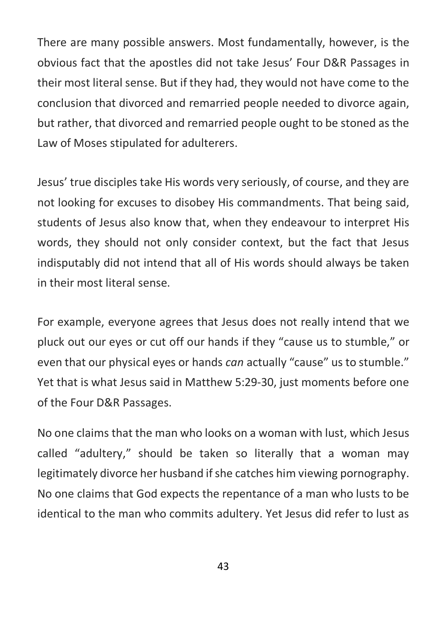There are many possible answers. Most fundamentally, however, is the obvious fact that the apostles did not take Jesus' Four D&R Passages in their most literal sense. But if they had, they would not have come to the conclusion that divorced and remarried people needed to divorce again, but rather, that divorced and remarried people ought to be stoned as the Law of Moses stipulated for adulterers.

Jesus' true disciples take His words very seriously, of course, and they are not looking for excuses to disobey His commandments. That being said, students of Jesus also know that, when they endeavour to interpret His words, they should not only consider context, but the fact that Jesus indisputably did not intend that all of His words should always be taken in their most literal sense.

For example, everyone agrees that Jesus does not really intend that we pluck out our eyes or cut off our hands if they "cause us to stumble," or even that our physical eyes or hands *can* actually "cause" us to stumble." Yet that is what Jesus said in Matthew 5:29-30, just moments before one of the Four D&R Passages.

No one claims that the man who looks on a woman with lust, which Jesus called "adultery," should be taken so literally that a woman may legitimately divorce her husband if she catches him viewing pornography. No one claims that God expects the repentance of a man who lusts to be identical to the man who commits adultery. Yet Jesus did refer to lust as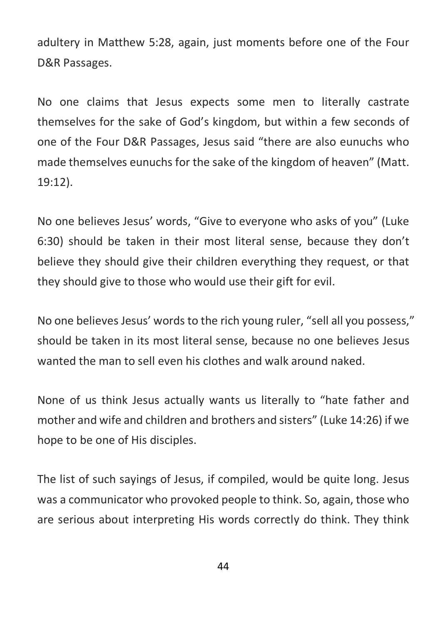adultery in Matthew 5:28, again, just moments before one of the Four D&R Passages.

No one claims that Jesus expects some men to literally castrate themselves for the sake of God's kingdom, but within a few seconds of one of the Four D&R Passages, Jesus said "there are also eunuchs who made themselves eunuchs for the sake of the kingdom of heaven" (Matt. 19:12).

No one believes Jesus' words, "Give to everyone who asks of you" (Luke 6:30) should be taken in their most literal sense, because they don't believe they should give their children everything they request, or that they should give to those who would use their gift for evil.

No one believes Jesus' words to the rich young ruler, "sell all you possess," should be taken in its most literal sense, because no one believes Jesus wanted the man to sell even his clothes and walk around naked.

None of us think Jesus actually wants us literally to "hate father and mother and wife and children and brothers and sisters" (Luke 14:26) if we hope to be one of His disciples.

The list of such sayings of Jesus, if compiled, would be quite long. Jesus was a communicator who provoked people to think. So, again, those who are serious about interpreting His words correctly do think. They think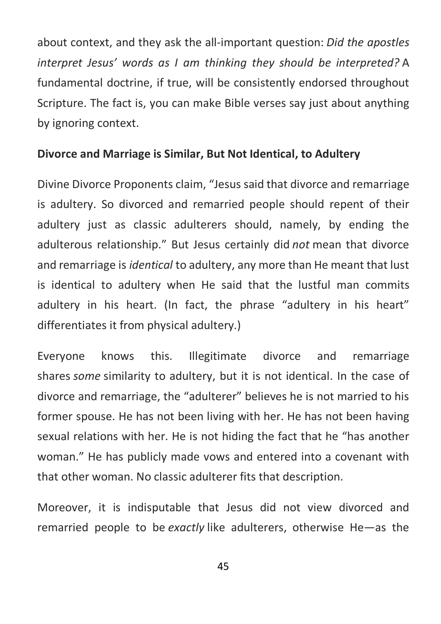about context, and they ask the all-important question: *Did the apostles interpret Jesus' words as I am thinking they should be interpreted?* A fundamental doctrine, if true, will be consistently endorsed throughout Scripture. The fact is, you can make Bible verses say just about anything by ignoring context.

### **Divorce and Marriage is Similar, But Not Identical, to Adultery**

Divine Divorce Proponents claim, "Jesus said that divorce and remarriage is adultery. So divorced and remarried people should repent of their adultery just as classic adulterers should, namely, by ending the adulterous relationship." But Jesus certainly did *not* mean that divorce and remarriage is *identical* to adultery, any more than He meant that lust is identical to adultery when He said that the lustful man commits adultery in his heart. (In fact, the phrase "adultery in his heart" differentiates it from physical adultery.)

Everyone knows this. Illegitimate divorce and remarriage shares *some* similarity to adultery, but it is not identical. In the case of divorce and remarriage, the "adulterer" believes he is not married to his former spouse. He has not been living with her. He has not been having sexual relations with her. He is not hiding the fact that he "has another woman." He has publicly made vows and entered into a covenant with that other woman. No classic adulterer fits that description.

Moreover, it is indisputable that Jesus did not view divorced and remarried people to be *exactly* like adulterers, otherwise He—as the

45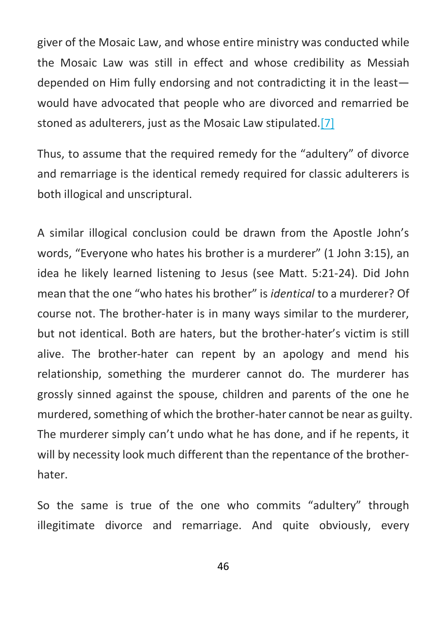giver of the Mosaic Law, and whose entire ministry was conducted while the Mosaic Law was still in effect and whose credibility as Messiah depended on Him fully endorsing and not contradicting it in the least would have advocated that people who are divorced and remarried be stoned as adulterers, just as the Mosaic Law stipulated.[7]

Thus, to assume that the required remedy for the "adultery" of divorce and remarriage is the identical remedy required for classic adulterers is both illogical and unscriptural.

A similar illogical conclusion could be drawn from the Apostle John's words, "Everyone who hates his brother is a murderer" (1 John 3:15), an idea he likely learned listening to Jesus (see Matt. 5:21-24). Did John mean that the one "who hates his brother" is *identical* to a murderer? Of course not. The brother-hater is in many ways similar to the murderer, but not identical. Both are haters, but the brother-hater's victim is still alive. The brother-hater can repent by an apology and mend his relationship, something the murderer cannot do. The murderer has grossly sinned against the spouse, children and parents of the one he murdered, something of which the brother-hater cannot be near as guilty. The murderer simply can't undo what he has done, and if he repents, it will by necessity look much different than the repentance of the brotherhater.

So the same is true of the one who commits "adultery" through illegitimate divorce and remarriage. And quite obviously, every

46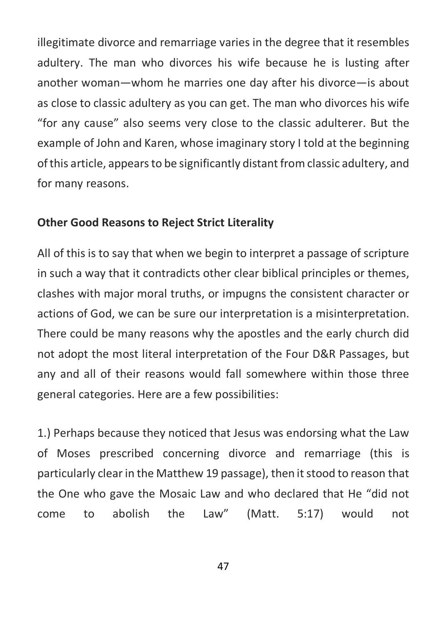illegitimate divorce and remarriage varies in the degree that it resembles adultery. The man who divorces his wife because he is lusting after another woman—whom he marries one day after his divorce—is about as close to classic adultery as you can get. The man who divorces his wife "for any cause" also seems very close to the classic adulterer. But the example of John and Karen, whose imaginary story I told at the beginning of this article, appears to be significantly distant from classic adultery, and for many reasons.

#### **Other Good Reasons to Reject Strict Literality**

All of this is to say that when we begin to interpret a passage of scripture in such a way that it contradicts other clear biblical principles or themes, clashes with major moral truths, or impugns the consistent character or actions of God, we can be sure our interpretation is a misinterpretation. There could be many reasons why the apostles and the early church did not adopt the most literal interpretation of the Four D&R Passages, but any and all of their reasons would fall somewhere within those three general categories. Here are a few possibilities:

1.) Perhaps because they noticed that Jesus was endorsing what the Law of Moses prescribed concerning divorce and remarriage (this is particularly clear in the Matthew 19 passage), then it stood to reason that the One who gave the Mosaic Law and who declared that He "did not come to abolish the Law" (Matt. 5:17) would not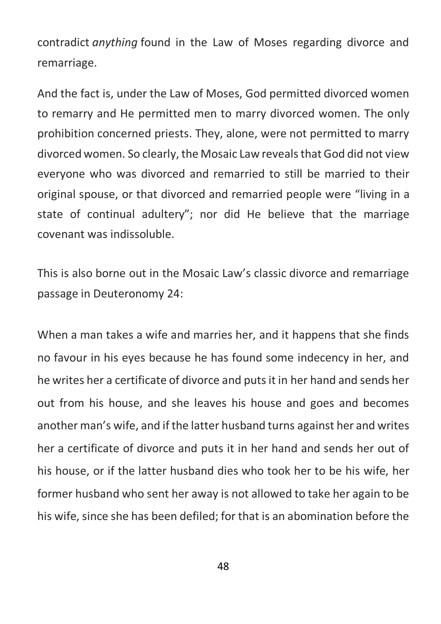contradict *anything* found in the Law of Moses regarding divorce and remarriage.

And the fact is, under the Law of Moses, God permitted divorced women to remarry and He permitted men to marry divorced women. The only prohibition concerned priests. They, alone, were not permitted to marry divorced women. So clearly, the Mosaic Law reveals that God did not view everyone who was divorced and remarried to still be married to their original spouse, or that divorced and remarried people were "living in a state of continual adultery"; nor did He believe that the marriage covenant was indissoluble.

This is also borne out in the Mosaic Law's classic divorce and remarriage passage in Deuteronomy 24:

When a man takes a wife and marries her, and it happens that she finds no favour in his eyes because he has found some indecency in her, and he writes her a certificate of divorce and puts it in her hand and sends her out from his house, and she leaves his house and goes and becomes another man's wife, and if the latter husband turns against her and writes her a certificate of divorce and puts it in her hand and sends her out of his house, or if the latter husband dies who took her to be his wife, her former husband who sent her away is not allowed to take her again to be his wife, since she has been defiled; for that is an abomination before the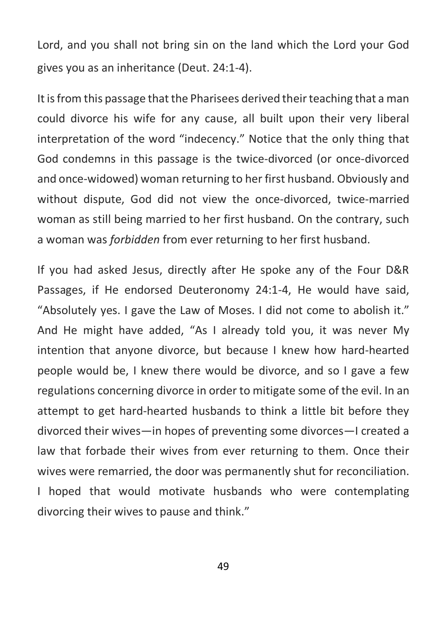Lord, and you shall not bring sin on the land which the Lord your God gives you as an inheritance (Deut. 24:1-4).

It is from this passage that the Pharisees derived their teaching that a man could divorce his wife for any cause, all built upon their very liberal interpretation of the word "indecency." Notice that the only thing that God condemns in this passage is the twice-divorced (or once-divorced and once-widowed) woman returning to her first husband. Obviously and without dispute, God did not view the once-divorced, twice-married woman as still being married to her first husband. On the contrary, such a woman was *forbidden* from ever returning to her first husband.

If you had asked Jesus, directly after He spoke any of the Four D&R Passages, if He endorsed Deuteronomy 24:1-4, He would have said, "Absolutely yes. I gave the Law of Moses. I did not come to abolish it." And He might have added, "As I already told you, it was never My intention that anyone divorce, but because I knew how hard-hearted people would be, I knew there would be divorce, and so I gave a few regulations concerning divorce in order to mitigate some of the evil. In an attempt to get hard-hearted husbands to think a little bit before they divorced their wives—in hopes of preventing some divorces—I created a law that forbade their wives from ever returning to them. Once their wives were remarried, the door was permanently shut for reconciliation. I hoped that would motivate husbands who were contemplating divorcing their wives to pause and think."

49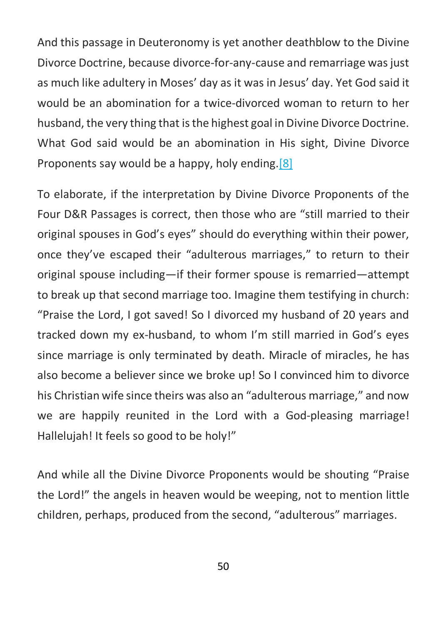And this passage in Deuteronomy is yet another deathblow to the Divine Divorce Doctrine, because divorce-for-any-cause and remarriage was just as much like adultery in Moses' day as it was in Jesus' day. Yet God said it would be an abomination for a twice-divorced woman to return to her husband, the very thing that is the highest goal in Divine Divorce Doctrine. What God said would be an abomination in His sight, Divine Divorce Proponents say would be a happy, holy ending.[8]

To elaborate, if the interpretation by Divine Divorce Proponents of the Four D&R Passages is correct, then those who are "still married to their original spouses in God's eyes" should do everything within their power, once they've escaped their "adulterous marriages," to return to their original spouse including—if their former spouse is remarried—attempt to break up that second marriage too. Imagine them testifying in church: "Praise the Lord, I got saved! So I divorced my husband of 20 years and tracked down my ex-husband, to whom I'm still married in God's eyes since marriage is only terminated by death. Miracle of miracles, he has also become a believer since we broke up! So I convinced him to divorce his Christian wife since theirs was also an "adulterous marriage," and now we are happily reunited in the Lord with a God-pleasing marriage! Hallelujah! It feels so good to be holy!"

And while all the Divine Divorce Proponents would be shouting "Praise the Lord!" the angels in heaven would be weeping, not to mention little children, perhaps, produced from the second, "adulterous" marriages.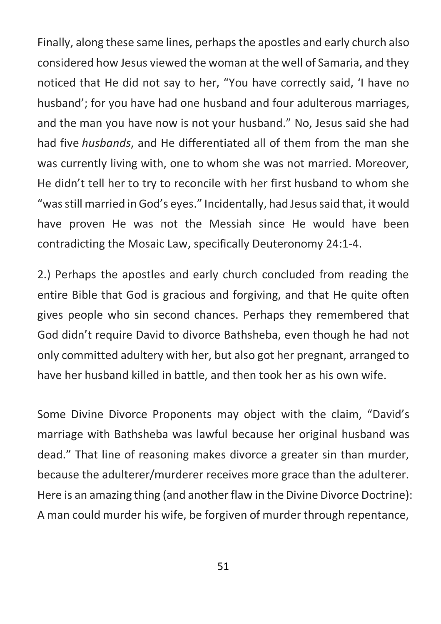Finally, along these same lines, perhaps the apostles and early church also considered how Jesus viewed the woman at the well of Samaria, and they noticed that He did not say to her, "You have correctly said, 'I have no husband'; for you have had one husband and four adulterous marriages, and the man you have now is not your husband." No, Jesus said she had had five *husbands*, and He differentiated all of them from the man she was currently living with, one to whom she was not married. Moreover, He didn't tell her to try to reconcile with her first husband to whom she "was still married in God's eyes." Incidentally, had Jesus said that, it would have proven He was not the Messiah since He would have been contradicting the Mosaic Law, specifically Deuteronomy 24:1-4.

2.) Perhaps the apostles and early church concluded from reading the entire Bible that God is gracious and forgiving, and that He quite often gives people who sin second chances. Perhaps they remembered that God didn't require David to divorce Bathsheba, even though he had not only committed adultery with her, but also got her pregnant, arranged to have her husband killed in battle, and then took her as his own wife.

Some Divine Divorce Proponents may object with the claim, "David's marriage with Bathsheba was lawful because her original husband was dead." That line of reasoning makes divorce a greater sin than murder, because the adulterer/murderer receives more grace than the adulterer. Here is an amazing thing (and another flaw in the Divine Divorce Doctrine): A man could murder his wife, be forgiven of murder through repentance,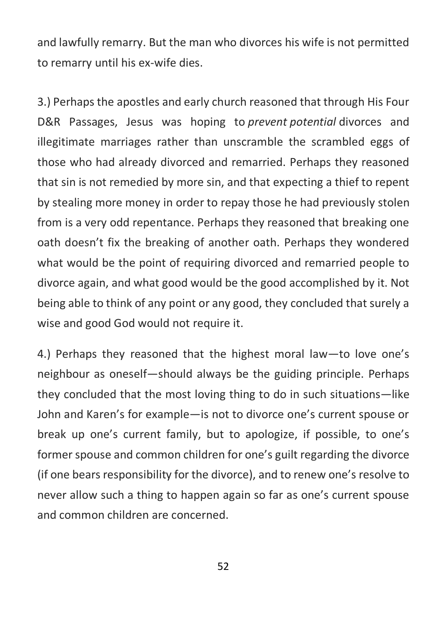and lawfully remarry. But the man who divorces his wife is not permitted to remarry until his ex-wife dies.

3.) Perhaps the apostles and early church reasoned that through His Four D&R Passages, Jesus was hoping to *prevent potential* divorces and illegitimate marriages rather than unscramble the scrambled eggs of those who had already divorced and remarried. Perhaps they reasoned that sin is not remedied by more sin, and that expecting a thief to repent by stealing more money in order to repay those he had previously stolen from is a very odd repentance. Perhaps they reasoned that breaking one oath doesn't fix the breaking of another oath. Perhaps they wondered what would be the point of requiring divorced and remarried people to divorce again, and what good would be the good accomplished by it. Not being able to think of any point or any good, they concluded that surely a wise and good God would not require it.

4.) Perhaps they reasoned that the highest moral law—to love one's neighbour as oneself—should always be the guiding principle. Perhaps they concluded that the most loving thing to do in such situations—like John and Karen's for example—is not to divorce one's current spouse or break up one's current family, but to apologize, if possible, to one's former spouse and common children for one's guilt regarding the divorce (if one bears responsibility for the divorce), and to renew one's resolve to never allow such a thing to happen again so far as one's current spouse and common children are concerned.

52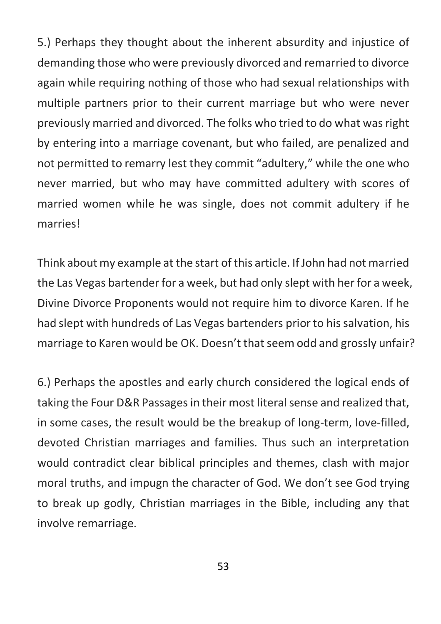5.) Perhaps they thought about the inherent absurdity and injustice of demanding those who were previously divorced and remarried to divorce again while requiring nothing of those who had sexual relationships with multiple partners prior to their current marriage but who were never previously married and divorced. The folks who tried to do what was right by entering into a marriage covenant, but who failed, are penalized and not permitted to remarry lest they commit "adultery," while the one who never married, but who may have committed adultery with scores of married women while he was single, does not commit adultery if he marries!

Think about my example at the start of this article. If John had not married the Las Vegas bartender for a week, but had only slept with her for a week, Divine Divorce Proponents would not require him to divorce Karen. If he had slept with hundreds of Las Vegas bartenders prior to his salvation, his marriage to Karen would be OK. Doesn't that seem odd and grossly unfair?

6.) Perhaps the apostles and early church considered the logical ends of taking the Four D&R Passages in their most literal sense and realized that, in some cases, the result would be the breakup of long-term, love-filled, devoted Christian marriages and families. Thus such an interpretation would contradict clear biblical principles and themes, clash with major moral truths, and impugn the character of God. We don't see God trying to break up godly, Christian marriages in the Bible, including any that involve remarriage.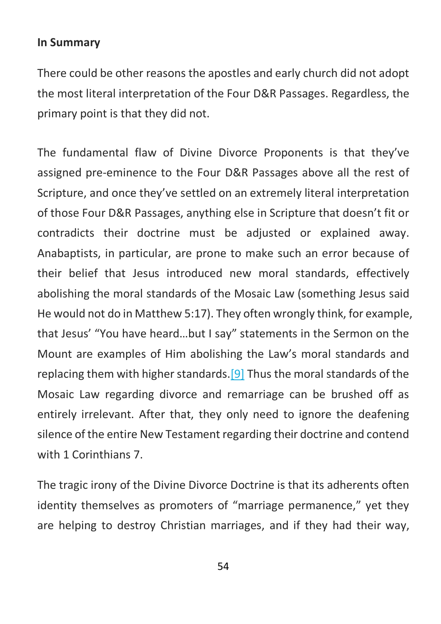#### **In Summary**

There could be other reasons the apostles and early church did not adopt the most literal interpretation of the Four D&R Passages. Regardless, the primary point is that they did not.

The fundamental flaw of Divine Divorce Proponents is that they've assigned pre-eminence to the Four D&R Passages above all the rest of Scripture, and once they've settled on an extremely literal interpretation of those Four D&R Passages, anything else in Scripture that doesn't fit or contradicts their doctrine must be adjusted or explained away. Anabaptists, in particular, are prone to make such an error because of their belief that Jesus introduced new moral standards, effectively abolishing the moral standards of the Mosaic Law (something Jesus said He would not do in Matthew 5:17). They often wrongly think, for example, that Jesus' "You have heard…but I say" statements in the Sermon on the Mount are examples of Him abolishing the Law's moral standards and replacing them with higher standards.<sup>[9]</sup> Thus the moral standards of the Mosaic Law regarding divorce and remarriage can be brushed off as entirely irrelevant. After that, they only need to ignore the deafening silence of the entire New Testament regarding their doctrine and contend with 1 Corinthians 7.

The tragic irony of the Divine Divorce Doctrine is that its adherents often identity themselves as promoters of "marriage permanence," yet they are helping to destroy Christian marriages, and if they had their way,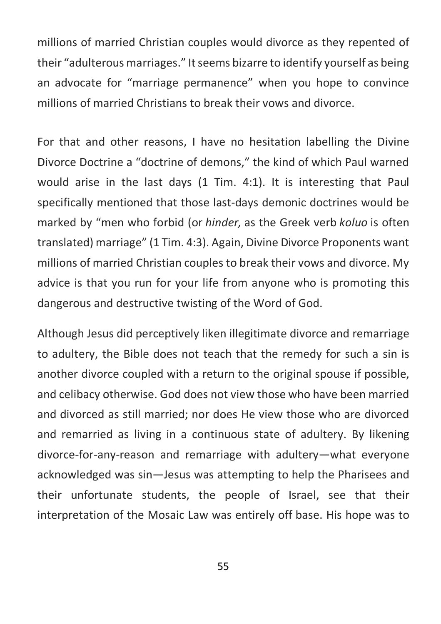millions of married Christian couples would divorce as they repented of their "adulterous marriages." It seems bizarre to identify yourself as being an advocate for "marriage permanence" when you hope to convince millions of married Christians to break their vows and divorce.

For that and other reasons, I have no hesitation labelling the Divine Divorce Doctrine a "doctrine of demons," the kind of which Paul warned would arise in the last days (1 Tim. 4:1). It is interesting that Paul specifically mentioned that those last-days demonic doctrines would be marked by "men who forbid (or *hinder,* as the Greek verb *koluo* is often translated) marriage" (1 Tim. 4:3). Again, Divine Divorce Proponents want millions of married Christian couples to break their vows and divorce. My advice is that you run for your life from anyone who is promoting this dangerous and destructive twisting of the Word of God.

Although Jesus did perceptively liken illegitimate divorce and remarriage to adultery, the Bible does not teach that the remedy for such a sin is another divorce coupled with a return to the original spouse if possible, and celibacy otherwise. God does not view those who have been married and divorced as still married; nor does He view those who are divorced and remarried as living in a continuous state of adultery. By likening divorce-for-any-reason and remarriage with adultery—what everyone acknowledged was sin—Jesus was attempting to help the Pharisees and their unfortunate students, the people of Israel, see that their interpretation of the Mosaic Law was entirely off base. His hope was to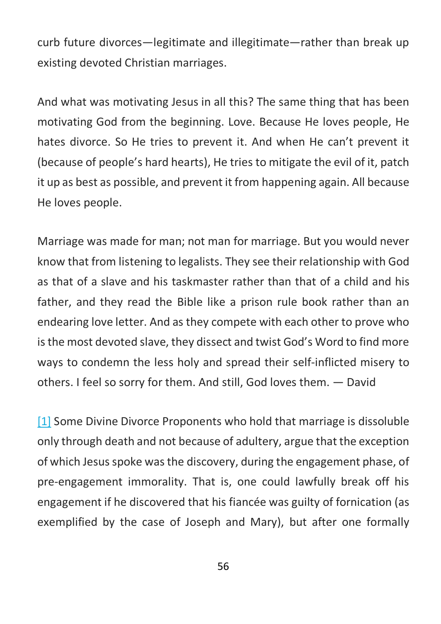curb future divorces—legitimate and illegitimate—rather than break up existing devoted Christian marriages.

And what was motivating Jesus in all this? The same thing that has been motivating God from the beginning. Love. Because He loves people, He hates divorce. So He tries to prevent it. And when He can't prevent it (because of people's hard hearts), He tries to mitigate the evil of it, patch it up as best as possible, and prevent it from happening again. All because He loves people.

Marriage was made for man; not man for marriage. But you would never know that from listening to legalists. They see their relationship with God as that of a slave and his taskmaster rather than that of a child and his father, and they read the Bible like a prison rule book rather than an endearing love letter. And as they compete with each other to prove who is the most devoted slave, they dissect and twist God's Word to find more ways to condemn the less holy and spread their self-inflicted misery to others. I feel so sorry for them. And still, God loves them. — David

[1] Some Divine Divorce Proponents who hold that marriage is dissoluble only through death and not because of adultery, argue that the exception of which Jesus spoke was the discovery, during the engagement phase, of pre-engagement immorality. That is, one could lawfully break off his engagement if he discovered that his fiancée was guilty of fornication (as exemplified by the case of Joseph and Mary), but after one formally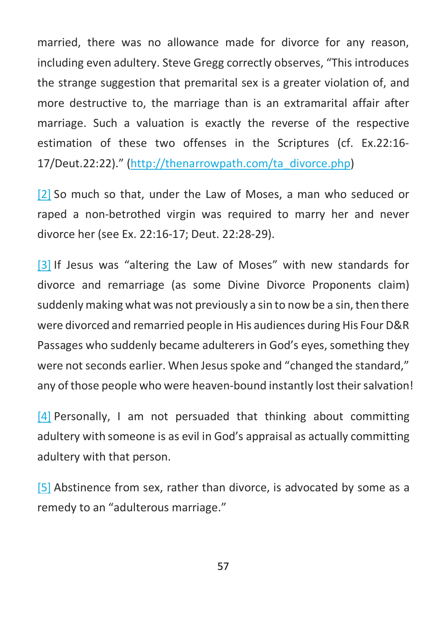married, there was no allowance made for divorce for any reason, including even adultery. Steve Gregg correctly observes, "This introduces the strange suggestion that premarital sex is a greater violation of, and more destructive to, the marriage than is an extramarital affair after marriage. Such a valuation is exactly the reverse of the respective estimation of these two offenses in the Scriptures (cf. Ex.22:16- 17/Deut.22:22)." (http://thenarrowpath.com/ta\_divorce.php)

[2] So much so that, under the Law of Moses, a man who seduced or raped a non-betrothed virgin was required to marry her and never divorce her (see Ex. 22:16-17; Deut. 22:28-29).

[3] If Jesus was "altering the Law of Moses" with new standards for divorce and remarriage (as some Divine Divorce Proponents claim) suddenly making what was not previously a sin to now be a sin, then there were divorced and remarried people in His audiences during His Four D&R Passages who suddenly became adulterers in God's eyes, something they were not seconds earlier. When Jesus spoke and "changed the standard," any of those people who were heaven-bound instantly lost their salvation!

[4] Personally, I am not persuaded that thinking about committing adultery with someone is as evil in God's appraisal as actually committing adultery with that person.

[5] Abstinence from sex, rather than divorce, is advocated by some as a remedy to an "adulterous marriage."

57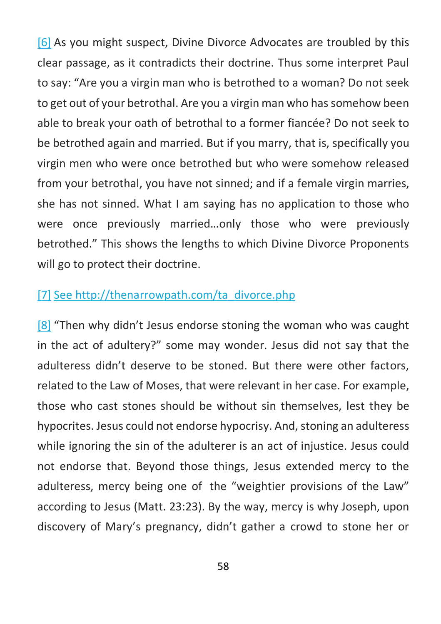[6] As you might suspect, Divine Divorce Advocates are troubled by this clear passage, as it contradicts their doctrine. Thus some interpret Paul to say: "Are you a virgin man who is betrothed to a woman? Do not seek to get out of your betrothal. Are you a virgin man who has somehow been able to break your oath of betrothal to a former fiancée? Do not seek to be betrothed again and married. But if you marry, that is, specifically you virgin men who were once betrothed but who were somehow released from your betrothal, you have not sinned; and if a female virgin marries, she has not sinned. What I am saying has no application to those who were once previously married…only those who were previously betrothed." This shows the lengths to which Divine Divorce Proponents will go to protect their doctrine.

### [7] See http://thenarrowpath.com/ta\_divorce.php

[8] "Then why didn't Jesus endorse stoning the woman who was caught in the act of adultery?" some may wonder. Jesus did not say that the adulteress didn't deserve to be stoned. But there were other factors, related to the Law of Moses, that were relevant in her case. For example, those who cast stones should be without sin themselves, lest they be hypocrites. Jesus could not endorse hypocrisy. And, stoning an adulteress while ignoring the sin of the adulterer is an act of injustice. Jesus could not endorse that. Beyond those things, Jesus extended mercy to the adulteress, mercy being one of the "weightier provisions of the Law" according to Jesus (Matt. 23:23). By the way, mercy is why Joseph, upon discovery of Mary's pregnancy, didn't gather a crowd to stone her or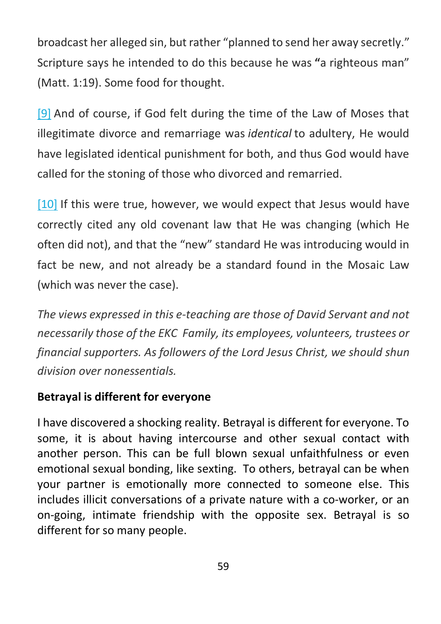broadcast her alleged sin, but rather "planned to send her away secretly." Scripture says he intended to do this because he was **"**a righteous man" (Matt. 1:19). Some food for thought.

[9] And of course, if God felt during the time of the Law of Moses that illegitimate divorce and remarriage was *identical* to adultery, He would have legislated identical punishment for both, and thus God would have called for the stoning of those who divorced and remarried.

[10] If this were true, however, we would expect that Jesus would have correctly cited any old covenant law that He was changing (which He often did not), and that the "new" standard He was introducing would in fact be new, and not already be a standard found in the Mosaic Law (which was never the case).

*The views expressed in this e-teaching are those of David Servant and not necessarily those of the EKC Family, its employees, volunteers, trustees or financial supporters. As followers of the Lord Jesus Christ, we should shun division over nonessentials.*

### **Betrayal is different for everyone**

I have discovered a shocking reality. Betrayal is different for everyone. To some, it is about having intercourse and other sexual contact with another person. This can be full blown sexual unfaithfulness or even emotional sexual bonding, like sexting. To others, betrayal can be when your partner is emotionally more connected to someone else. This includes illicit conversations of a private nature with a co-worker, or an on-going, intimate friendship with the opposite sex. Betrayal is so different for so many people.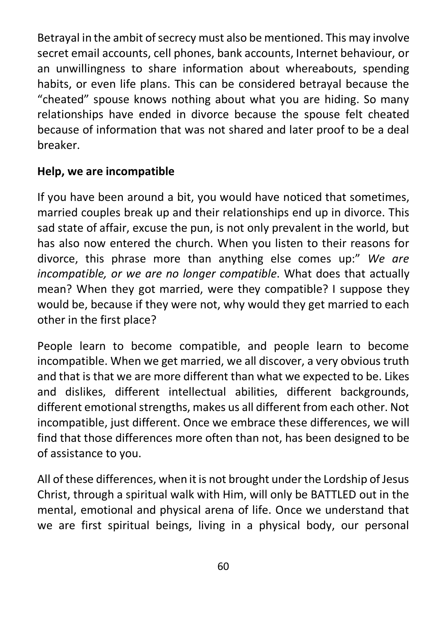Betrayal in the ambit of secrecy must also be mentioned. This may involve secret email accounts, cell phones, bank accounts, Internet behaviour, or an unwillingness to share information about whereabouts, spending habits, or even life plans. This can be considered betrayal because the "cheated" spouse knows nothing about what you are hiding. So many relationships have ended in divorce because the spouse felt cheated because of information that was not shared and later proof to be a deal breaker.

### **Help, we are incompatible**

If you have been around a bit, you would have noticed that sometimes, married couples break up and their relationships end up in divorce. This sad state of affair, excuse the pun, is not only prevalent in the world, but has also now entered the church. When you listen to their reasons for divorce, this phrase more than anything else comes up:" *We are incompatible, or we are no longer compatible*. What does that actually mean? When they got married, were they compatible? I suppose they would be, because if they were not, why would they get married to each other in the first place?

People learn to become compatible, and people learn to become incompatible. When we get married, we all discover, a very obvious truth and that is that we are more different than what we expected to be. Likes and dislikes, different intellectual abilities, different backgrounds, different emotional strengths, makes us all different from each other. Not incompatible, just different. Once we embrace these differences, we will find that those differences more often than not, has been designed to be of assistance to you.

All of these differences, when it is not brought under the Lordship of Jesus Christ, through a spiritual walk with Him, will only be BATTLED out in the mental, emotional and physical arena of life. Once we understand that we are first spiritual beings, living in a physical body, our personal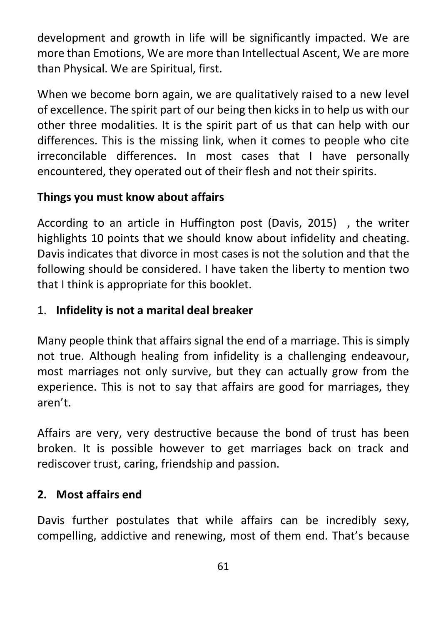development and growth in life will be significantly impacted. We are more than Emotions, We are more than Intellectual Ascent, We are more than Physical. We are Spiritual, first.

When we become born again, we are qualitatively raised to a new level of excellence. The spirit part of our being then kicks in to help us with our other three modalities. It is the spirit part of us that can help with our differences. This is the missing link, when it comes to people who cite irreconcilable differences. In most cases that I have personally encountered, they operated out of their flesh and not their spirits.

### **Things you must know about affairs**

According to an article in Huffington post (Davis, 2015) , the writer highlights 10 points that we should know about infidelity and cheating. Davis indicates that divorce in most cases is not the solution and that the following should be considered. I have taken the liberty to mention two that I think is appropriate for this booklet.

### 1. **Infidelity is not a marital deal breaker**

Many people think that affairs signal the end of a marriage. This is simply not true. Although healing from infidelity is a challenging endeavour, most marriages not only survive, but they can actually grow from the experience. This is not to say that affairs are good for marriages, they aren't.

Affairs are very, very destructive because the bond of trust has been broken. It is possible however to get marriages back on track and rediscover trust, caring, friendship and passion.

### **2. Most affairs end**

Davis further postulates that while affairs can be incredibly sexy, compelling, addictive and renewing, most of them end. That's because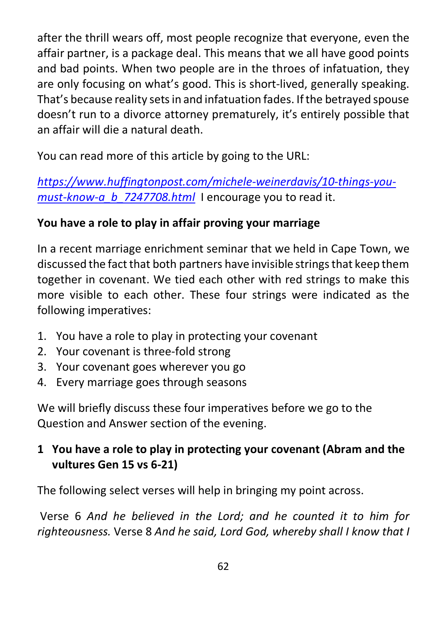after the thrill wears off, most people recognize that everyone, even the affair partner, is a package deal. This means that we all have good points and bad points. When two people are in the throes of infatuation, they are only focusing on what's good. This is short-lived, generally speaking. That's because reality sets in and infatuation fades. If the betrayed spouse doesn't run to a divorce attorney prematurely, it's entirely possible that an affair will die a natural death.

You can read more of this article by going to the URL:

*https://www.huffingtonpost.com/michele-weinerdavis/10-things-youmust-know-a\_b\_7247708.html* I encourage you to read it.

# **You have a role to play in affair proving your marriage**

In a recent marriage enrichment seminar that we held in Cape Town, we discussed the fact that both partners have invisible strings that keep them together in covenant. We tied each other with red strings to make this more visible to each other. These four strings were indicated as the following imperatives:

- 1. You have a role to play in protecting your covenant
- 2. Your covenant is three-fold strong
- 3. Your covenant goes wherever you go
- 4. Every marriage goes through seasons

We will briefly discuss these four imperatives before we go to the Question and Answer section of the evening.

# **1 You have a role to play in protecting your covenant (Abram and the vultures Gen 15 vs 6-21)**

The following select verses will help in bringing my point across.

Verse 6 *And he believed in the Lord; and he counted it to him for righteousness.* Verse 8 *And he said, Lord God, whereby shall I know that I*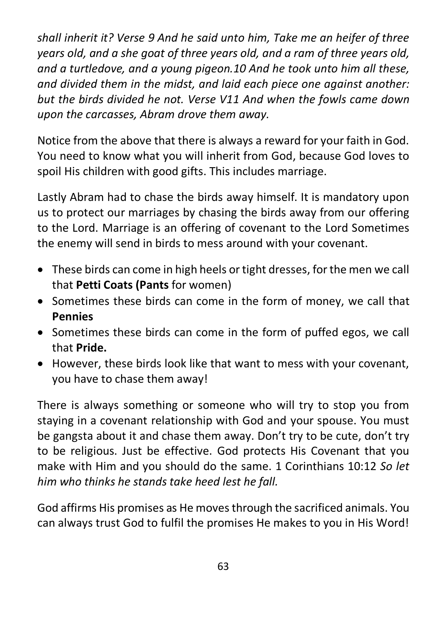*shall inherit it? Verse 9 And he said unto him, Take me an heifer of three years old, and a she goat of three years old, and a ram of three years old, and a turtledove, and a young pigeon.10 And he took unto him all these, and divided them in the midst, and laid each piece one against another: but the birds divided he not. Verse V11 And when the fowls came down upon the carcasses, Abram drove them away.*

Notice from the above that there is always a reward for your faith in God. You need to know what you will inherit from God, because God loves to spoil His children with good gifts. This includes marriage.

Lastly Abram had to chase the birds away himself. It is mandatory upon us to protect our marriages by chasing the birds away from our offering to the Lord. Marriage is an offering of covenant to the Lord Sometimes the enemy will send in birds to mess around with your covenant.

- These birds can come in high heels or tight dresses, for the men we call that **Petti Coats (Pants** for women)
- Sometimes these birds can come in the form of money, we call that **Pennies**
- Sometimes these birds can come in the form of puffed egos, we call that **Pride.**
- However, these birds look like that want to mess with your covenant, you have to chase them away!

There is always something or someone who will try to stop you from staying in a covenant relationship with God and your spouse. You must be gangsta about it and chase them away. Don't try to be cute, don't try to be religious. Just be effective. God protects His Covenant that you make with Him and you should do the same. 1 Corinthians 10:12 *So let him who thinks he stands take heed lest he fall.*

God affirms His promises as He moves through the sacrificed animals. You can always trust God to fulfil the promises He makes to you in His Word!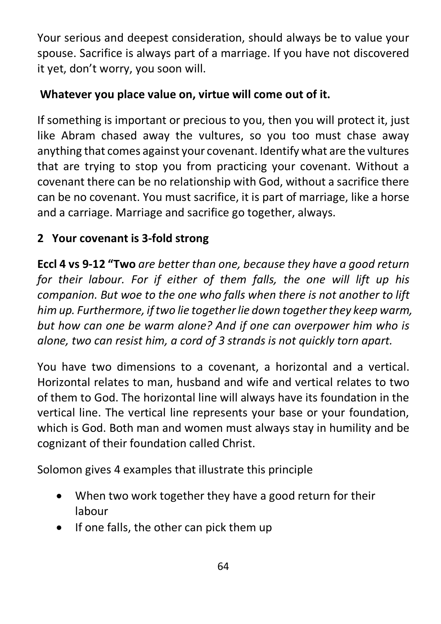Your serious and deepest consideration, should always be to value your spouse. Sacrifice is always part of a marriage. If you have not discovered it yet, don't worry, you soon will.

# **Whatever you place value on, virtue will come out of it.**

If something is important or precious to you, then you will protect it, just like Abram chased away the vultures, so you too must chase away anything that comes against your covenant. Identify what are the vultures that are trying to stop you from practicing your covenant. Without a covenant there can be no relationship with God, without a sacrifice there can be no covenant. You must sacrifice, it is part of marriage, like a horse and a carriage. Marriage and sacrifice go together, always.

# **2 Your covenant is 3-fold strong**

**Eccl 4 vs 9-12 "Two** *are better than one, because they have a good return for their labour. For if either of them falls, the one will lift up his companion. But woe to the one who falls when there is not another to lift him up. Furthermore, if two lie together lie down together they keep warm, but how can one be warm alone? And if one can overpower him who is alone, two can resist him, a cord of 3 strands is not quickly torn apart.*

You have two dimensions to a covenant, a horizontal and a vertical. Horizontal relates to man, husband and wife and vertical relates to two of them to God. The horizontal line will always have its foundation in the vertical line. The vertical line represents your base or your foundation, which is God. Both man and women must always stay in humility and be cognizant of their foundation called Christ.

Solomon gives 4 examples that illustrate this principle

- When two work together they have a good return for their labour
- If one falls, the other can pick them up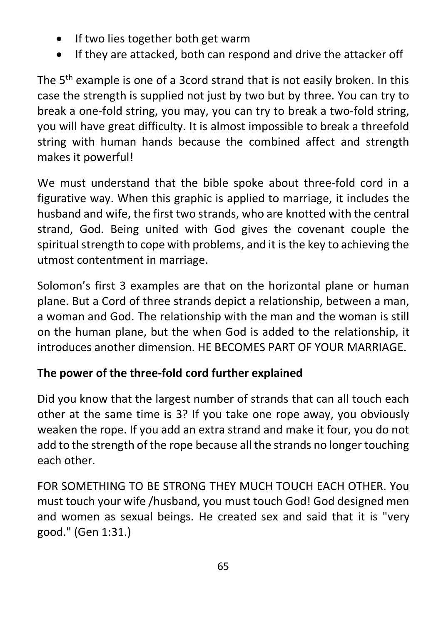- If two lies together both get warm
- If they are attacked, both can respond and drive the attacker off

The 5<sup>th</sup> example is one of a 3cord strand that is not easily broken. In this case the strength is supplied not just by two but by three. You can try to break a one-fold string, you may, you can try to break a two-fold string, you will have great difficulty. It is almost impossible to break a threefold string with human hands because the combined affect and strength makes it powerful!

We must understand that the bible spoke about three-fold cord in a figurative way. When this graphic is applied to marriage, it includes the husband and wife, the first two strands, who are knotted with the central strand, God. Being united with God gives the covenant couple the spiritual strength to cope with problems, and it is the key to achieving the utmost contentment in marriage.

Solomon's first 3 examples are that on the horizontal plane or human plane. But a Cord of three strands depict a relationship, between a man, a woman and God. The relationship with the man and the woman is still on the human plane, but the when God is added to the relationship, it introduces another dimension. HE BECOMES PART OF YOUR MARRIAGE.

# **The power of the three-fold cord further explained**

Did you know that the largest number of strands that can all touch each other at the same time is 3? If you take one rope away, you obviously weaken the rope. If you add an extra strand and make it four, you do not add to the strength of the rope because all the strands no longer touching each other.

FOR SOMETHING TO BE STRONG THEY MUCH TOUCH EACH OTHER. You must touch your wife /husband, you must touch God! God designed men and women as sexual beings. He created sex and said that it is "very good." (Gen 1:31.)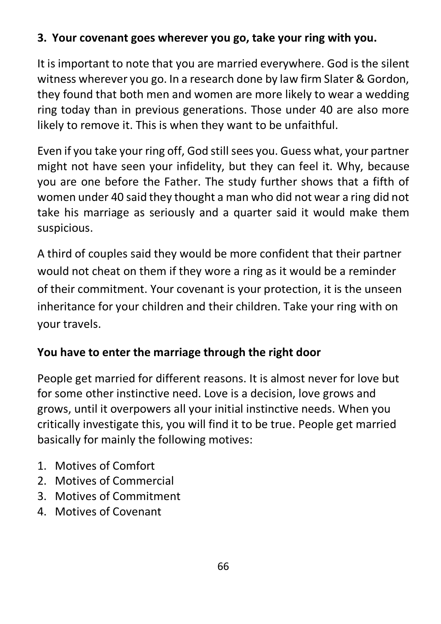# **3. Your covenant goes wherever you go, take your ring with you.**

It is important to note that you are married everywhere. God is the silent witness wherever you go. In a research done by law firm Slater & Gordon, they found that both men and women are more likely to wear a wedding ring today than in previous generations. Those under 40 are also more likely to remove it. This is when they want to be unfaithful.

Even if you take your ring off, God still sees you. Guess what, your partner might not have seen your infidelity, but they can feel it. Why, because you are one before the Father. The study further shows that a fifth of women under 40 said they thought a man who did not wear a ring did not take his marriage as seriously and a quarter said it would make them suspicious.

A third of couples said they would be more confident that their partner would not cheat on them if they wore a ring as it would be a reminder of their commitment. Your covenant is your protection, it is the unseen inheritance for your children and their children. Take your ring with on your travels.

# **You have to enter the marriage through the right door**

People get married for different reasons. It is almost never for love but for some other instinctive need. Love is a decision, love grows and grows, until it overpowers all your initial instinctive needs. When you critically investigate this, you will find it to be true. People get married basically for mainly the following motives:

- 1. Motives of Comfort
- 2. Motives of Commercial
- 3. Motives of Commitment
- 4. Motives of Covenant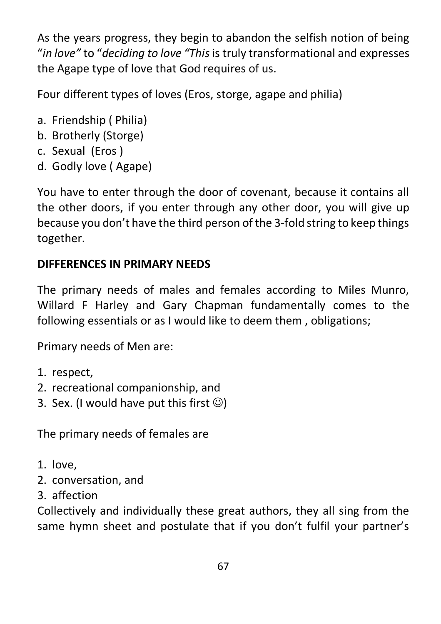As the years progress, they begin to abandon the selfish notion of being "*in love"* to "*deciding to love "This*is truly transformational and expresses the Agape type of love that God requires of us.

Four different types of loves (Eros, storge, agape and philia)

- a. Friendship ( Philia)
- b. Brotherly (Storge)
- c. Sexual (Eros )
- d. Godly love ( Agape)

You have to enter through the door of covenant, because it contains all the other doors, if you enter through any other door, you will give up because you don't have the third person of the 3-fold string to keep things together.

# **DIFFERENCES IN PRIMARY NEEDS**

The primary needs of males and females according to Miles Munro, Willard F Harley and Gary Chapman fundamentally comes to the following essentials or as I would like to deem them , obligations;

Primary needs of Men are:

- 1. respect,
- 2. recreational companionship, and
- 3. Sex. (I would have put this first  $\circledcirc$ )

The primary needs of females are

- 1. love,
- 2. conversation, and
- 3. affection

Collectively and individually these great authors, they all sing from the same hymn sheet and postulate that if you don't fulfil your partner's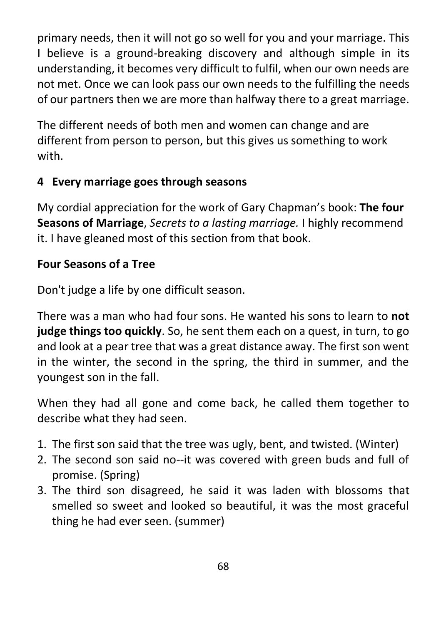primary needs, then it will not go so well for you and your marriage. This I believe is a ground-breaking discovery and although simple in its understanding, it becomes very difficult to fulfil, when our own needs are not met. Once we can look pass our own needs to the fulfilling the needs of our partners then we are more than halfway there to a great marriage.

The different needs of both men and women can change and are different from person to person, but this gives us something to work with.

# **4 Every marriage goes through seasons**

My cordial appreciation for the work of Gary Chapman's book: **The four Seasons of Marriage**, *Secrets to a lasting marriage.* I highly recommend it. I have gleaned most of this section from that book.

### **Four Seasons of a Tree**

Don't judge a life by one difficult season.

There was a man who had four sons. He wanted his sons to learn to **not judge things too quickly**. So, he sent them each on a quest, in turn, to go and look at a pear tree that was a great distance away. The first son went in the winter, the second in the spring, the third in summer, and the youngest son in the fall.

When they had all gone and come back, he called them together to describe what they had seen.

- 1. The first son said that the tree was ugly, bent, and twisted. (Winter)
- 2. The second son said no--it was covered with green buds and full of promise. (Spring)
- 3. The third son disagreed, he said it was laden with blossoms that smelled so sweet and looked so beautiful, it was the most graceful thing he had ever seen. (summer)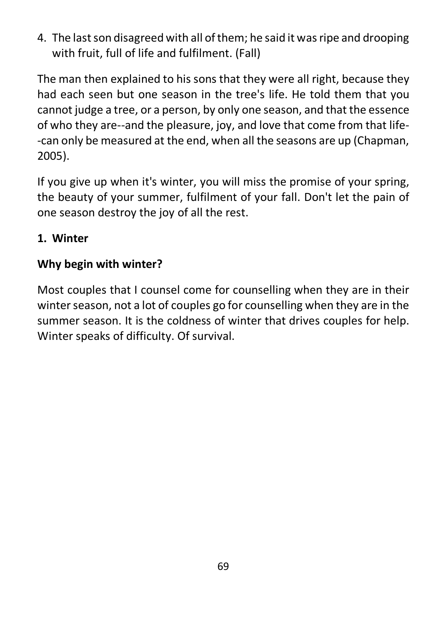4. The last son disagreed with all of them; he said it was ripe and drooping with fruit, full of life and fulfilment. (Fall)

The man then explained to his sons that they were all right, because they had each seen but one season in the tree's life. He told them that you cannot judge a tree, or a person, by only one season, and that the essence of who they are--and the pleasure, joy, and love that come from that life- -can only be measured at the end, when all the seasons are up (Chapman, 2005).

If you give up when it's winter, you will miss the promise of your spring, the beauty of your summer, fulfilment of your fall. Don't let the pain of one season destroy the joy of all the rest.

### **1. Winter**

# **Why begin with winter?**

Most couples that I counsel come for counselling when they are in their winter season, not a lot of couples go for counselling when they are in the summer season. It is the coldness of winter that drives couples for help. Winter speaks of difficulty. Of survival.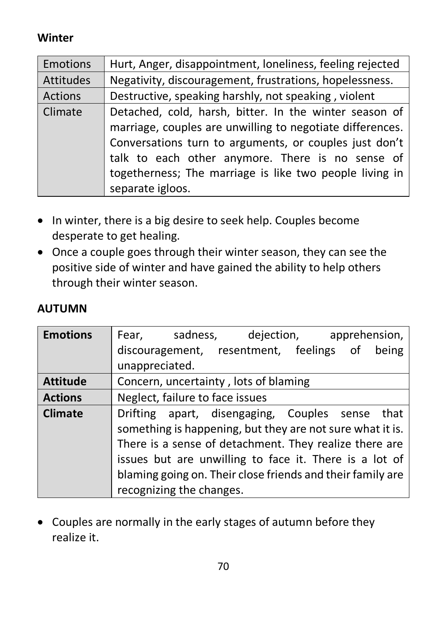# **Winter**

| <b>Emotions</b> | Hurt, Anger, disappointment, loneliness, feeling rejected |
|-----------------|-----------------------------------------------------------|
| Attitudes       | Negativity, discouragement, frustrations, hopelessness.   |
| Actions         | Destructive, speaking harshly, not speaking, violent      |
| Climate         | Detached, cold, harsh, bitter. In the winter season of    |
|                 | marriage, couples are unwilling to negotiate differences. |
|                 | Conversations turn to arguments, or couples just don't    |
|                 | talk to each other anymore. There is no sense of          |
|                 | togetherness; The marriage is like two people living in   |
|                 | separate igloos.                                          |

- In winter, there is a big desire to seek help. Couples become desperate to get healing.
- Once a couple goes through their winter season, they can see the positive side of winter and have gained the ability to help others through their winter season.

| <b>Emotions</b> | Fear, sadness, dejection, apprehension,                    |
|-----------------|------------------------------------------------------------|
|                 | discouragement, resentment, feelings of<br>being           |
|                 | unappreciated.                                             |
| <b>Attitude</b> | Concern, uncertainty, lots of blaming                      |
| <b>Actions</b>  | Neglect, failure to face issues                            |
| <b>Climate</b>  | Drifting apart, disengaging, Couples sense that            |
|                 | something is happening, but they are not sure what it is.  |
|                 | There is a sense of detachment. They realize there are     |
|                 | issues but are unwilling to face it. There is a lot of     |
|                 | blaming going on. Their close friends and their family are |
|                 | recognizing the changes.                                   |

# **AUTUMN**

• Couples are normally in the early stages of autumn before they realize it.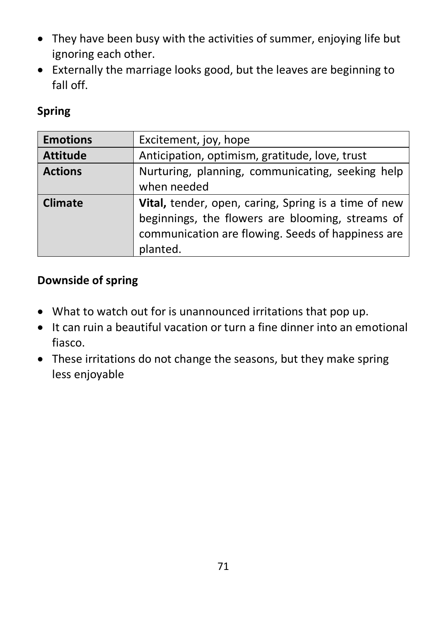- They have been busy with the activities of summer, enjoying life but ignoring each other.
- Externally the marriage looks good, but the leaves are beginning to fall off.

### **Spring**

| <b>Emotions</b> | Excitement, joy, hope                                |
|-----------------|------------------------------------------------------|
| <b>Attitude</b> | Anticipation, optimism, gratitude, love, trust       |
| <b>Actions</b>  | Nurturing, planning, communicating, seeking help     |
|                 | when needed                                          |
| <b>Climate</b>  | Vital, tender, open, caring, Spring is a time of new |
|                 | beginnings, the flowers are blooming, streams of     |
|                 | communication are flowing. Seeds of happiness are    |
|                 | planted.                                             |

### **Downside of spring**

- What to watch out for is unannounced irritations that pop up.
- It can ruin a beautiful vacation or turn a fine dinner into an emotional fiasco.
- These irritations do not change the seasons, but they make spring less enjoyable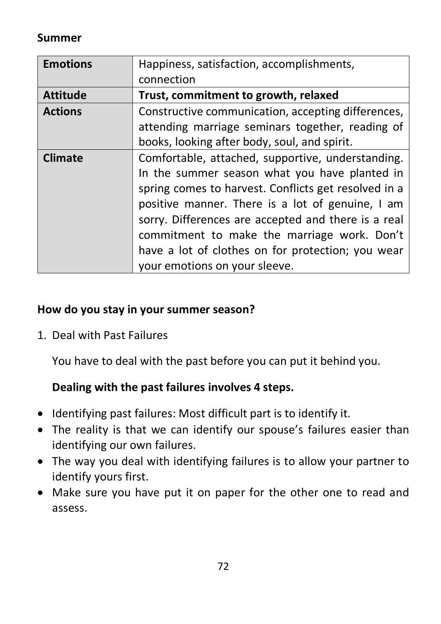## **Summer**

| <b>Emotions</b> | Happiness, satisfaction, accomplishments,                                                                                                                                                                                                                                                                                                                                                                  |
|-----------------|------------------------------------------------------------------------------------------------------------------------------------------------------------------------------------------------------------------------------------------------------------------------------------------------------------------------------------------------------------------------------------------------------------|
|                 | connection                                                                                                                                                                                                                                                                                                                                                                                                 |
| <b>Attitude</b> | Trust, commitment to growth, relaxed                                                                                                                                                                                                                                                                                                                                                                       |
| <b>Actions</b>  | Constructive communication, accepting differences,<br>attending marriage seminars together, reading of                                                                                                                                                                                                                                                                                                     |
|                 | books, looking after body, soul, and spirit.                                                                                                                                                                                                                                                                                                                                                               |
| <b>Climate</b>  | Comfortable, attached, supportive, understanding.<br>In the summer season what you have planted in<br>spring comes to harvest. Conflicts get resolved in a<br>positive manner. There is a lot of genuine, I am<br>sorry. Differences are accepted and there is a real<br>commitment to make the marriage work. Don't<br>have a lot of clothes on for protection; you wear<br>your emotions on your sleeve. |

#### **How do you stay in your summer season?**

1. Deal with Past Failures

You have to deal with the past before you can put it behind you.

#### **Dealing with the past failures involves 4 steps.**

- Identifying past failures: Most difficult part is to identify it.
- The reality is that we can identify our spouse's failures easier than identifying our own failures.
- The way you deal with identifying failures is to allow your partner to identify yours first.
- Make sure you have put it on paper for the other one to read and assess.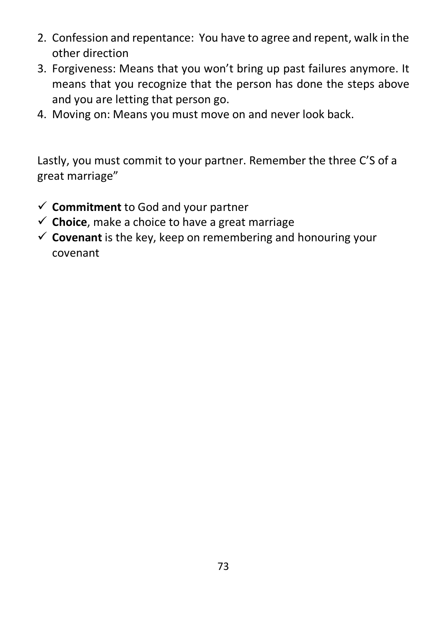- 2. Confession and repentance: You have to agree and repent, walk in the other direction
- 3. Forgiveness: Means that you won't bring up past failures anymore. It means that you recognize that the person has done the steps above and you are letting that person go.
- 4. Moving on: Means you must move on and never look back.

Lastly, you must commit to your partner. Remember the three C'S of a great marriage"

- $\checkmark$  **Commitment** to God and your partner
- $\checkmark$  **Choice**, make a choice to have a great marriage
- $\checkmark$  **Covenant** is the key, keep on remembering and honouring your covenant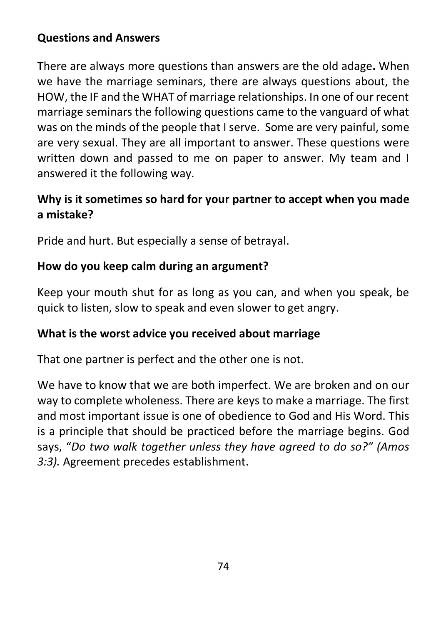## **Questions and Answers**

**T**here are always more questions than answers are the old adage**.** When we have the marriage seminars, there are always questions about, the HOW, the IF and the WHAT of marriage relationships. In one of our recent marriage seminars the following questions came to the vanguard of what was on the minds of the people that I serve. Some are very painful, some are very sexual. They are all important to answer. These questions were written down and passed to me on paper to answer. My team and I answered it the following way.

## **Why is it sometimes so hard for your partner to accept when you made a mistake?**

Pride and hurt. But especially a sense of betrayal.

## **How do you keep calm during an argument?**

Keep your mouth shut for as long as you can, and when you speak, be quick to listen, slow to speak and even slower to get angry.

#### **What is the worst advice you received about marriage**

That one partner is perfect and the other one is not.

We have to know that we are both imperfect. We are broken and on our way to complete wholeness. There are keys to make a marriage. The first and most important issue is one of obedience to God and His Word. This is a principle that should be practiced before the marriage begins. God says, "*Do two walk together unless they have agreed to do so?" (Amos 3:3).* Agreement precedes establishment.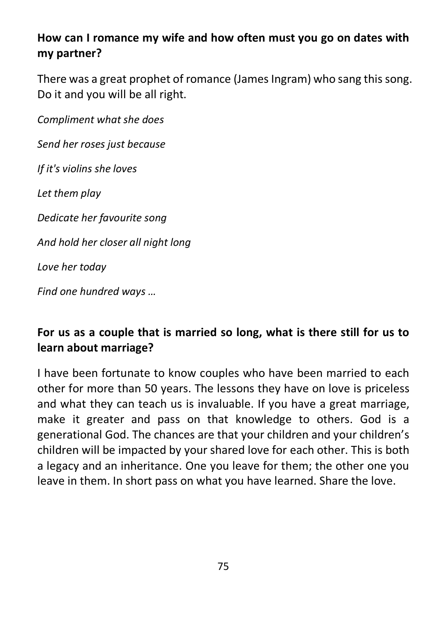# **How can I romance my wife and how often must you go on dates with my partner?**

There was a great prophet of romance (James Ingram) who sang this song. Do it and you will be all right.

*Compliment what she does*

*Send her roses just because*

*If it's violins she loves*

*Let them play*

*Dedicate her favourite song*

*And hold her closer all night long*

*Love her today*

*Find one hundred ways …*

## **For us as a couple that is married so long, what is there still for us to learn about marriage?**

I have been fortunate to know couples who have been married to each other for more than 50 years. The lessons they have on love is priceless and what they can teach us is invaluable. If you have a great marriage, make it greater and pass on that knowledge to others. God is a generational God. The chances are that your children and your children's children will be impacted by your shared love for each other. This is both a legacy and an inheritance. One you leave for them; the other one you leave in them. In short pass on what you have learned. Share the love.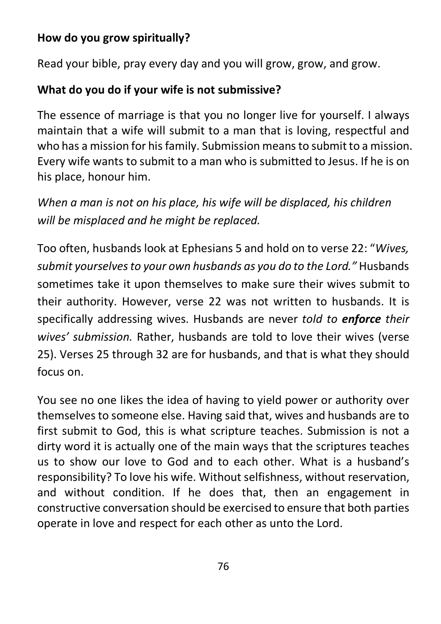## **How do you grow spiritually?**

Read your bible, pray every day and you will grow, grow, and grow.

# **What do you do if your wife is not submissive?**

The essence of marriage is that you no longer live for yourself. I always maintain that a wife will submit to a man that is loving, respectful and who has a mission for his family. Submission means to submit to a mission. Every wife wants to submit to a man who is submitted to Jesus. If he is on his place, honour him.

*When a man is not on his place, his wife will be displaced, his children will be misplaced and he might be replaced.* 

Too often, husbands look at Ephesians 5 and hold on to verse 22: "*Wives, submit yourselves to your own husbands as you do to the Lord."* Husbands sometimes take it upon themselves to make sure their wives submit to their authority. However, verse 22 was not written to husbands. It is specifically addressing wives. Husbands are never *told to enforce their wives' submission.* Rather, husbands are told to love their wives (verse 25). Verses 25 through 32 are for husbands, and that is what they should focus on.

You see no one likes the idea of having to yield power or authority over themselves to someone else. Having said that, wives and husbands are to first submit to God, this is what scripture teaches. Submission is not a dirty word it is actually one of the main ways that the scriptures teaches us to show our love to God and to each other. What is a husband's responsibility? To love his wife. Without selfishness, without reservation, and without condition. If he does that, then an engagement in constructive conversation should be exercised to ensure that both parties operate in love and respect for each other as unto the Lord.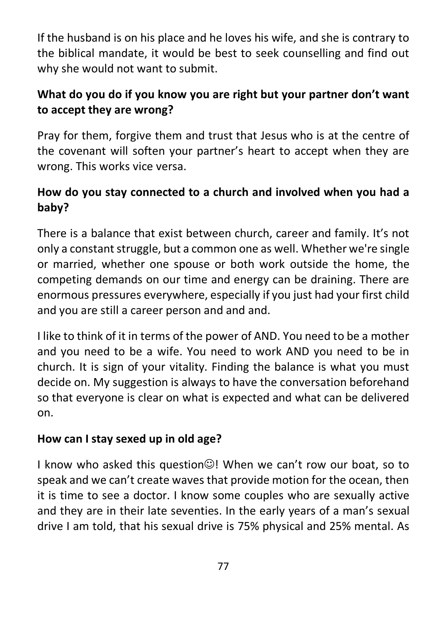If the husband is on his place and he loves his wife, and she is contrary to the biblical mandate, it would be best to seek counselling and find out why she would not want to submit.

# **What do you do if you know you are right but your partner don't want to accept they are wrong?**

Pray for them, forgive them and trust that Jesus who is at the centre of the covenant will soften your partner's heart to accept when they are wrong. This works vice versa.

## **How do you stay connected to a church and involved when you had a baby?**

There is a balance that exist between church, career and family. It's not only a constant struggle, but a common one as well. Whether we're single or married, whether one spouse or both work outside the home, the competing demands on our time and energy can be draining. There are enormous pressures everywhere, especially if you just had your first child and you are still a career person and and and.

I like to think of it in terms of the power of AND. You need to be a mother and you need to be a wife. You need to work AND you need to be in church. It is sign of your vitality. Finding the balance is what you must decide on. My suggestion is always to have the conversation beforehand so that everyone is clear on what is expected and what can be delivered on.

## **How can I stay sexed up in old age?**

I know who asked this question $\mathbb{O}$ ! When we can't row our boat, so to speak and we can't create waves that provide motion for the ocean, then it is time to see a doctor. I know some couples who are sexually active and they are in their late seventies. In the early years of a man's sexual drive I am told, that his sexual drive is 75% physical and 25% mental. As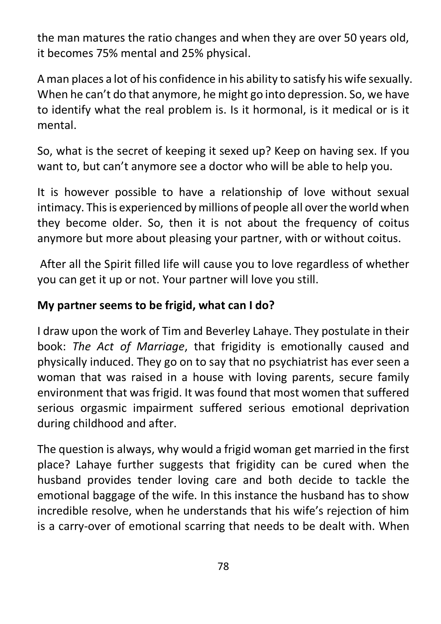the man matures the ratio changes and when they are over 50 years old, it becomes 75% mental and 25% physical.

A man places a lot of his confidence in his ability to satisfy his wife sexually. When he can't do that anymore, he might go into depression. So, we have to identify what the real problem is. Is it hormonal, is it medical or is it mental.

So, what is the secret of keeping it sexed up? Keep on having sex. If you want to, but can't anymore see a doctor who will be able to help you.

It is however possible to have a relationship of love without sexual intimacy. This is experienced by millions of people all over the world when they become older. So, then it is not about the frequency of coitus anymore but more about pleasing your partner, with or without coitus.

After all the Spirit filled life will cause you to love regardless of whether you can get it up or not. Your partner will love you still.

## **My partner seems to be frigid, what can I do?**

I draw upon the work of Tim and Beverley Lahaye. They postulate in their book: *The Act of Marriage*, that frigidity is emotionally caused and physically induced. They go on to say that no psychiatrist has ever seen a woman that was raised in a house with loving parents, secure family environment that was frigid. It was found that most women that suffered serious orgasmic impairment suffered serious emotional deprivation during childhood and after.

The question is always, why would a frigid woman get married in the first place? Lahaye further suggests that frigidity can be cured when the husband provides tender loving care and both decide to tackle the emotional baggage of the wife. In this instance the husband has to show incredible resolve, when he understands that his wife's rejection of him is a carry-over of emotional scarring that needs to be dealt with. When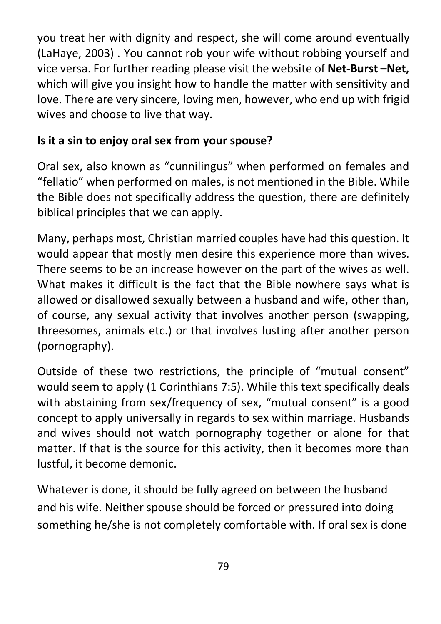you treat her with dignity and respect, she will come around eventually (LaHaye, 2003) . You cannot rob your wife without robbing yourself and vice versa. For further reading please visit the website of **Net-Burst –Net,** which will give you insight how to handle the matter with sensitivity and love. There are very sincere, loving men, however, who end up with frigid wives and choose to live that way.

## **Is it a sin to enjoy oral sex from your spouse?**

Oral sex, also known as "cunnilingus" when performed on females and "fellatio" when performed on males, is not mentioned in the Bible. While the Bible does not specifically address the question, there are definitely biblical principles that we can apply.

Many, perhaps most, Christian married couples have had this question. It would appear that mostly men desire this experience more than wives. There seems to be an increase however on the part of the wives as well. What makes it difficult is the fact that the Bible nowhere says what is allowed or disallowed sexually between a husband and wife, other than, of course, any sexual activity that involves another person (swapping, threesomes, animals etc.) or that involves lusting after another person (pornography).

Outside of these two restrictions, the principle of "mutual consent" would seem to apply (1 Corinthians 7:5). While this text specifically deals with abstaining from sex/frequency of sex, "mutual consent" is a good concept to apply universally in regards to sex within marriage. Husbands and wives should not watch pornography together or alone for that matter. If that is the source for this activity, then it becomes more than lustful, it become demonic.

Whatever is done, it should be fully agreed on between the husband and his wife. Neither spouse should be forced or pressured into doing something he/she is not completely comfortable with. If oral sex is done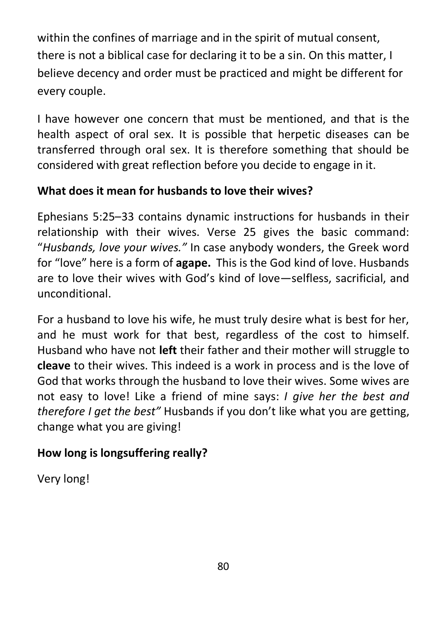within the confines of marriage and in the spirit of mutual consent, there is not a biblical case for declaring it to be a sin. On this matter, I believe decency and order must be practiced and might be different for every couple.

I have however one concern that must be mentioned, and that is the health aspect of oral sex. It is possible that herpetic diseases can be transferred through oral sex. It is therefore something that should be considered with great reflection before you decide to engage in it.

# **What does it mean for husbands to love their wives?**

Ephesians 5:25–33 contains dynamic instructions for husbands in their relationship with their wives. Verse 25 gives the basic command: "*Husbands, love your wives."* In case anybody wonders, the Greek word for "love" here is a form of **agape.** This is the God kind of love. Husbands are to love their wives with God's kind of love—selfless, sacrificial, and unconditional.

For a husband to love his wife, he must truly desire what is best for her, and he must work for that best, regardless of the cost to himself. Husband who have not **left** their father and their mother will struggle to **cleave** to their wives. This indeed is a work in process and is the love of God that works through the husband to love their wives. Some wives are not easy to love! Like a friend of mine says: *I give her the best and therefore I get the best"* Husbands if you don't like what you are getting, change what you are giving!

# **How long is longsuffering really?**

Very long!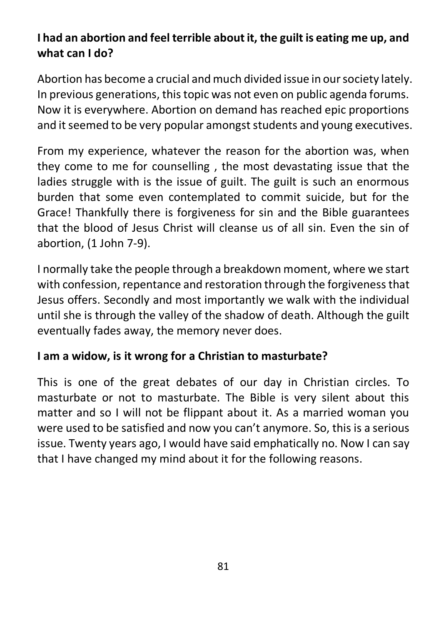# **I had an abortion and feel terrible about it, the guilt is eating me up, and what can I do?**

Abortion has become a crucial and much divided issue in our society lately. In previous generations, this topic was not even on public agenda forums. Now it is everywhere. Abortion on demand has reached epic proportions and it seemed to be very popular amongst students and young executives.

From my experience, whatever the reason for the abortion was, when they come to me for counselling , the most devastating issue that the ladies struggle with is the issue of guilt. The guilt is such an enormous burden that some even contemplated to commit suicide, but for the Grace! Thankfully there is forgiveness for sin and the Bible guarantees that the blood of Jesus Christ will cleanse us of all sin. Even the sin of abortion, (1 John 7-9).

I normally take the people through a breakdown moment, where we start with confession, repentance and restoration through the forgiveness that Jesus offers. Secondly and most importantly we walk with the individual until she is through the valley of the shadow of death. Although the guilt eventually fades away, the memory never does.

## **I am a widow, is it wrong for a Christian to masturbate?**

This is one of the great debates of our day in Christian circles. To masturbate or not to masturbate. The Bible is very silent about this matter and so I will not be flippant about it. As a married woman you were used to be satisfied and now you can't anymore. So, this is a serious issue. Twenty years ago, I would have said emphatically no. Now I can say that I have changed my mind about it for the following reasons.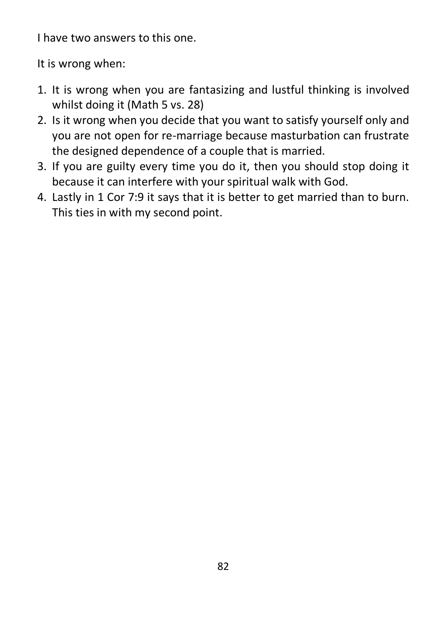I have two answers to this one.

It is wrong when:

- 1. It is wrong when you are fantasizing and lustful thinking is involved whilst doing it (Math 5 vs. 28)
- 2. Is it wrong when you decide that you want to satisfy yourself only and you are not open for re-marriage because masturbation can frustrate the designed dependence of a couple that is married.
- 3. If you are guilty every time you do it, then you should stop doing it because it can interfere with your spiritual walk with God.
- 4. Lastly in 1 Cor 7:9 it says that it is better to get married than to burn. This ties in with my second point.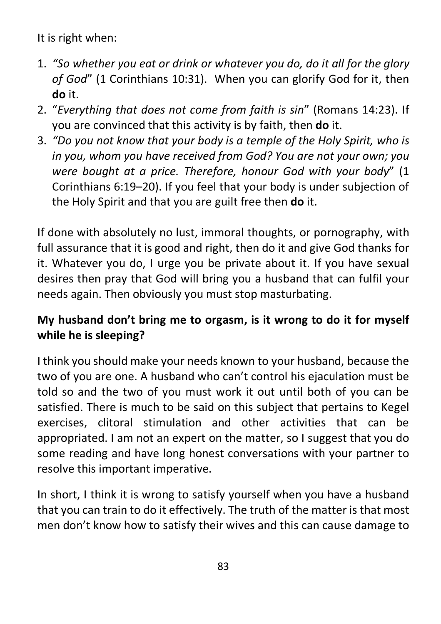It is right when:

- 1. *"So whether you eat or drink or whatever you do, do it all for the glory of God*" (1 Corinthians 10:31). When you can glorify God for it, then **do** it.
- 2. "*Everything that does not come from faith is sin*" (Romans 14:23). If you are convinced that this activity is by faith, then **do** it.
- 3. *"Do you not know that your body is a temple of the Holy Spirit, who is in you, whom you have received from God? You are not your own; you were bought at a price. Therefore, honour God with your body*" (1 Corinthians 6:19–20). If you feel that your body is under subjection of the Holy Spirit and that you are guilt free then **do** it.

If done with absolutely no lust, immoral thoughts, or pornography, with full assurance that it is good and right, then do it and give God thanks for it. Whatever you do, I urge you be private about it. If you have sexual desires then pray that God will bring you a husband that can fulfil your needs again. Then obviously you must stop masturbating.

# **My husband don't bring me to orgasm, is it wrong to do it for myself while he is sleeping?**

I think you should make your needs known to your husband, because the two of you are one. A husband who can't control his ejaculation must be told so and the two of you must work it out until both of you can be satisfied. There is much to be said on this subject that pertains to Kegel exercises, clitoral stimulation and other activities that can be appropriated. I am not an expert on the matter, so I suggest that you do some reading and have long honest conversations with your partner to resolve this important imperative.

In short, I think it is wrong to satisfy yourself when you have a husband that you can train to do it effectively. The truth of the matter is that most men don't know how to satisfy their wives and this can cause damage to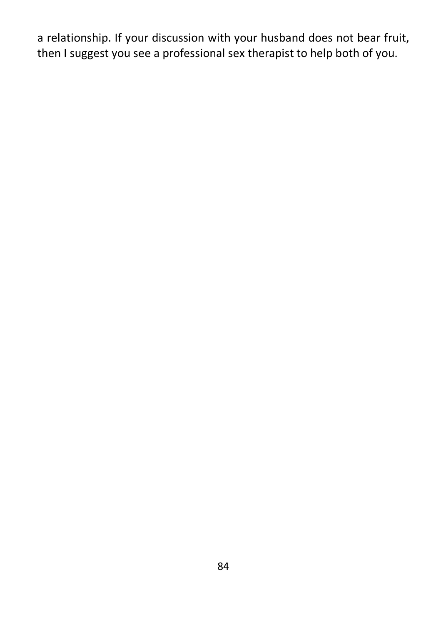a relationship. If your discussion with your husband does not bear fruit, then I suggest you see a professional sex therapist to help both of you.